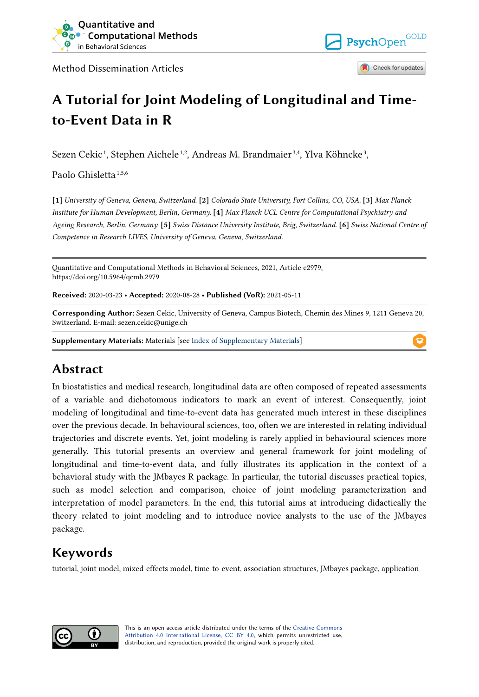

Method Dissemination Articles



Check for updates

# **A Tutorial for Joint Modeling of Longitudinal and Timeto-Event Data in R**

Sezen Cekic<sup>1</sup>, Stephen Aichele<sup>1,2</sup>, Andreas M. Brandmaier<sup>3,4</sup>, Ylva Köhncke<sup>3</sup>,

Paolo Ghisletta 1,5,6

**[1]** *University of Geneva, Geneva, Switzerland.* **[2]** *Colorado State University, Fort Collins, CO, USA.* **[3]** *Max Planck Institute for Human Development, Berlin, Germany.* **[4]** *Max Planck UCL Centre for Computational Psychiatry and Ageing Research, Berlin, Germany.* **[5]** *Swiss Distance University Institute, Brig, Switzerland.* **[6]** *Swiss National Centre of Competence in Research LIVES, University of Geneva, Geneva, Switzerland.* 

Quantitative and Computational Methods in Behavioral Sciences, 2021, Article e2979, https://doi.org/10.5964/qcmb.2979

**Received:** 2020-03-23 • **Accepted:** 2020-08-28 • **Published (VoR):** 2021-05-11

**Corresponding Author:** Sezen Cekic, University of Geneva, Campus Biotech, Chemin des Mines 9, 1211 Geneva 20, Switzerland. E-mail: sezen.cekic@unige.ch

**Supplementary Materials:** Materials [see [Index of Supplementary Materials\]](#page-29-0)

# **Abstract**

In biostatistics and medical research, longitudinal data are often composed of repeated assessments of a variable and dichotomous indicators to mark an event of interest. Consequently, joint modeling of longitudinal and time-to-event data has generated much interest in these disciplines over the previous decade. In behavioural sciences, too, often we are interested in relating individual trajectories and discrete events. Yet, joint modeling is rarely applied in behavioural sciences more generally. This tutorial presents an overview and general framework for joint modeling of longitudinal and time-to-event data, and fully illustrates its application in the context of a behavioral study with the JMbayes R package. In particular, the tutorial discusses practical topics, such as model selection and comparison, choice of joint modeling parameterization and interpretation of model parameters. In the end, this tutorial aims at introducing didactically the theory related to joint modeling and to introduce novice analysts to the use of the JMbayes package.

# **Keywords**

tutorial, joint model, mixed-effects model, time-to-event, association structures, JMbayes package, application



This is an open access article distributed under the terms of the [Creative Commons](https://creativecommons.org/licenses/by/4.0/) [Attribution 4.0 International License, CC BY 4.0](https://creativecommons.org/licenses/by/4.0/), which permits unrestricted use, distribution, and reproduction, provided the original work is properly cited.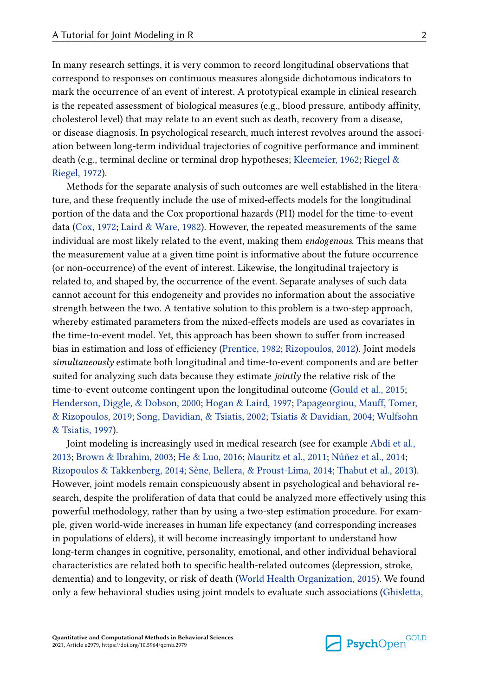In many research settings, it is very common to record longitudinal observations that correspond to responses on continuous measures alongside dichotomous indicators to mark the occurrence of an event of interest. A prototypical example in clinical research is the repeated assessment of biological measures (e.g., blood pressure, antibody affinity, cholesterol level) that may relate to an event such as death, recovery from a disease, or disease diagnosis. In psychological research, much interest revolves around the association between long-term individual trajectories of cognitive performance and imminent death (e.g., terminal decline or terminal drop hypotheses; [Kleemeier, 1962;](#page-31-0) [Riegel &](#page-33-0) [Riegel, 1972](#page-33-0)).

Methods for the separate analysis of such outcomes are well established in the literature, and these frequently include the use of mixed-effects models for the longitudinal portion of the data and the Cox proportional hazards (PH) model for the time-to-event data ([Cox, 1972](#page-30-0); [Laird & Ware, 1982](#page-32-0)). However, the repeated measurements of the same individual are most likely related to the event, making them *endogenous*. This means that the measurement value at a given time point is informative about the future occurrence (or non-occurrence) of the event of interest. Likewise, the longitudinal trajectory is related to, and shaped by, the occurrence of the event. Separate analyses of such data cannot account for this endogeneity and provides no information about the associative strength between the two. A tentative solution to this problem is a two-step approach, whereby estimated parameters from the mixed-effects models are used as covariates in the time-to-event model. Yet, this approach has been shown to suffer from increased bias in estimation and loss of efficiency [\(Prentice, 1982](#page-33-0); [Rizopoulos, 2012](#page-33-0)). Joint models *simultaneously* estimate both longitudinal and time-to-event components and are better suited for analyzing such data because they estimate *jointly* the relative risk of the time-to-event outcome contingent upon the longitudinal outcome [\(Gould et al., 2015](#page-30-0); [Henderson, Diggle, & Dobson, 2000](#page-31-0); [Hogan & Laird, 1997;](#page-31-0) [Papageorgiou, Mauff, Tomer,](#page-32-0)  [& Rizopoulos, 2019;](#page-32-0) [Song, Davidian, & Tsiatis, 2002;](#page-34-0) [Tsiatis & Davidian, 2004](#page-35-0); [Wulfsohn](#page-35-0) [& Tsiatis, 1997](#page-35-0)).

Joint modeling is increasingly used in medical research (see for example [Abdi et al.,](#page-29-0)  [2013;](#page-29-0) [Brown & Ibrahim, 2003](#page-30-0); [He & Luo, 2016;](#page-31-0) [Mauritz et al., 2011](#page-32-0); [Núñez et al., 2014;](#page-32-0) [Rizopoulos & Takkenberg, 2014;](#page-34-0) [Sène, Bellera, & Proust-Lima, 2014;](#page-34-0) [Thabut et al., 2013](#page-34-0)). However, joint models remain conspicuously absent in psychological and behavioral research, despite the proliferation of data that could be analyzed more effectively using this powerful methodology, rather than by using a two-step estimation procedure. For example, given world-wide increases in human life expectancy (and corresponding increases in populations of elders), it will become increasingly important to understand how long-term changes in cognitive, personality, emotional, and other individual behavioral characteristics are related both to specific health-related outcomes (depression, stroke, dementia) and to longevity, or risk of death [\(World Health Organization, 2015\)](#page-35-0). We found only a few behavioral studies using joint models to evaluate such associations [\(Ghisletta,](#page-30-0)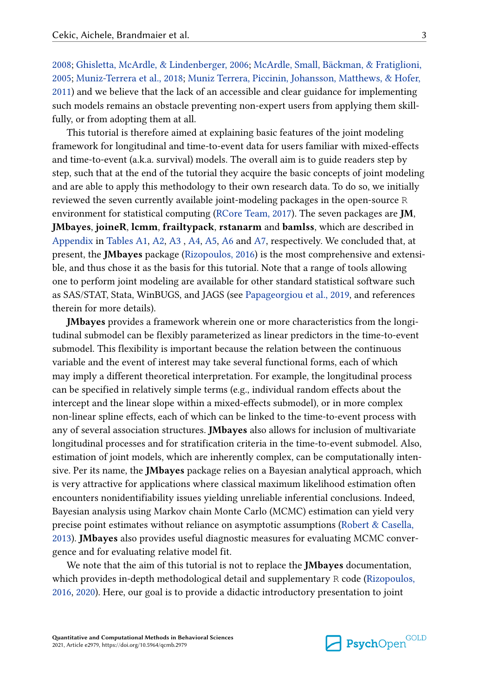[2008; Ghisletta, McArdle, & Lindenberger, 2006](#page-30-0); [McArdle, Small, Bäckman, & Fratiglioni,](#page-32-0)  [2005; Muniz-Terrera et al., 2018;](#page-32-0) [Muniz Terrera, Piccinin, Johansson, Matthews, & Hofer,](#page-32-0)  [2011\)](#page-32-0) and we believe that the lack of an accessible and clear guidance for implementing such models remains an obstacle preventing non-expert users from applying them skillfully, or from adopting them at all.

This tutorial is therefore aimed at explaining basic features of the joint modeling framework for longitudinal and time-to-event data for users familiar with mixed-effects and time-to-event (a.k.a. survival) models. The overall aim is to guide readers step by step, such that at the end of the tutorial they acquire the basic concepts of joint modeling and are able to apply this methodology to their own research data. To do so, we initially reviewed the seven currently available joint-modeling packages in the open-source R environment for statistical computing [\(RCore Team, 2017\)](#page-33-0). The seven packages are **JM**, **JMbayes**, **joineR**, **lcmm**, **frailtypack**, **rstanarm** and **bamlss**, which are described in [Appendix](#page-35-0) in [Tables A1](#page-35-0), [A2,](#page-36-0) [A3](#page-37-0) , [A4,](#page-37-0) [A5,](#page-38-0) [A6](#page-38-0) and [A7,](#page-39-0) respectively. We concluded that, at present, the **JMbayes** package ([Rizopoulos, 2016\)](#page-33-0) is the most comprehensive and extensible, and thus chose it as the basis for this tutorial. Note that a range of tools allowing one to perform joint modeling are available for other standard statistical software such as SAS/STAT, Stata, WinBUGS, and JAGS (see [Papageorgiou et al., 2019](#page-32-0), and references therein for more details).

**JMbayes** provides a framework wherein one or more characteristics from the longitudinal submodel can be flexibly parameterized as linear predictors in the time-to-event submodel. This flexibility is important because the relation between the continuous variable and the event of interest may take several functional forms, each of which may imply a different theoretical interpretation. For example, the longitudinal process can be specified in relatively simple terms (e.g., individual random effects about the intercept and the linear slope within a mixed-effects submodel), or in more complex non-linear spline effects, each of which can be linked to the time-to-event process with any of several association structures. **JMbayes** also allows for inclusion of multivariate longitudinal processes and for stratification criteria in the time-to-event submodel. Also, estimation of joint models, which are inherently complex, can be computationally intensive. Per its name, the **JMbayes** package relies on a Bayesian analytical approach, which is very attractive for applications where classical maximum likelihood estimation often encounters nonidentifiability issues yielding unreliable inferential conclusions. Indeed, Bayesian analysis using Markov chain Monte Carlo (MCMC) estimation can yield very precise point estimates without reliance on asymptotic assumptions ([Robert & Casella,](#page-34-0) [2013\)](#page-34-0). **JMbayes** also provides useful diagnostic measures for evaluating MCMC convergence and for evaluating relative model fit.

We note that the aim of this tutorial is not to replace the **JMbayes** documentation, which provides in-depth methodological detail and supplementary R code [\(Rizopoulos,](#page-33-0) [2016, 2020\)](#page-33-0). Here, our goal is to provide a didactic introductory presentation to joint

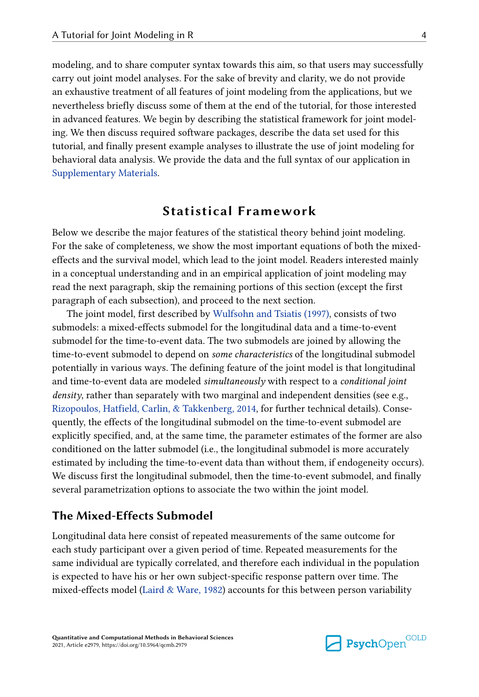modeling, and to share computer syntax towards this aim, so that users may successfully carry out joint model analyses. For the sake of brevity and clarity, we do not provide an exhaustive treatment of all features of joint modeling from the applications, but we nevertheless briefly discuss some of them at the end of the tutorial, for those interested in advanced features. We begin by describing the statistical framework for joint modeling. We then discuss required software packages, describe the data set used for this tutorial, and finally present example analyses to illustrate the use of joint modeling for behavioral data analysis. We provide the data and the full syntax of our application in [Supplementary Materials.](#page-29-0)

# **Statistical Framework**

Below we describe the major features of the statistical theory behind joint modeling. For the sake of completeness, we show the most important equations of both the mixedeffects and the survival model, which lead to the joint model. Readers interested mainly in a conceptual understanding and in an empirical application of joint modeling may read the next paragraph, skip the remaining portions of this section (except the first paragraph of each subsection), and proceed to the next section.

The joint model, first described by [Wulfsohn and Tsiatis \(1997\),](#page-35-0) consists of two submodels: a mixed-effects submodel for the longitudinal data and a time-to-event submodel for the time-to-event data. The two submodels are joined by allowing the time-to-event submodel to depend on *some characteristics* of the longitudinal submodel potentially in various ways. The defining feature of the joint model is that longitudinal and time-to-event data are modeled *simultaneously* with respect to a *conditional joint density*, rather than separately with two marginal and independent densities (see e.g., [Rizopoulos, Hatfield, Carlin, & Takkenberg, 2014](#page-33-0), for further technical details). Consequently, the effects of the longitudinal submodel on the time-to-event submodel are explicitly specified, and, at the same time, the parameter estimates of the former are also conditioned on the latter submodel (i.e., the longitudinal submodel is more accurately estimated by including the time-to-event data than without them, if endogeneity occurs). We discuss first the longitudinal submodel, then the time-to-event submodel, and finally several parametrization options to associate the two within the joint model.

# **The Mixed-Effects Submodel**

Longitudinal data here consist of repeated measurements of the same outcome for each study participant over a given period of time. Repeated measurements for the same individual are typically correlated, and therefore each individual in the population is expected to have his or her own subject-specific response pattern over time. The mixed-effects model [\(Laird & Ware, 1982](#page-32-0)) accounts for this between person variability

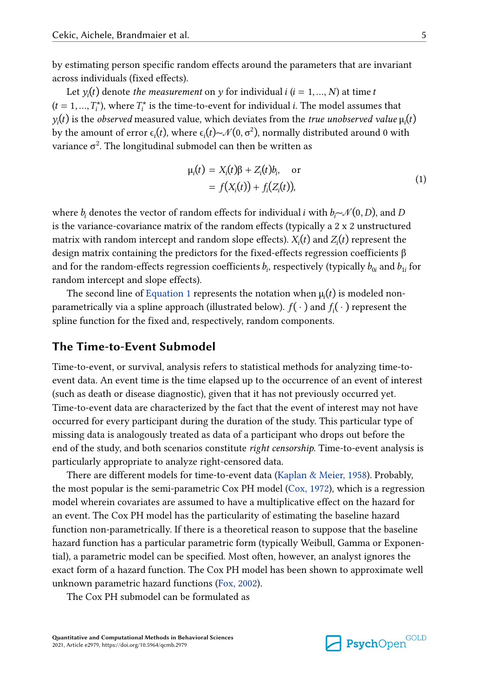<span id="page-4-0"></span>by estimating person specific random effects around the parameters that are invariant across individuals (fixed effects).

Let  $y_i(t)$  denote *the measurement* on y for individual  $i$  ( $i = 1, ..., N$ ) at time t  $(t = 1, ..., T_i^*)$ , where  $T_i^*$  is the time-to-event for individual *i*. The model assumes that  $y_i(t)$  is the *observed* measured value, which deviates from the *true unobserved value*  $\mu_i(t)$ by the amount of error  $\epsilon_i(t)$ , where  $\epsilon_i(t) \sim \mathcal{N}(0, \sigma^2)$ , normally distributed around 0 with variance  $\sigma^2.$  The longitudinal submodel can then be written as

$$
\mu_i(t) = X_i(t)\beta + Z_i(t)b_i, \quad \text{or}
$$
  
=  $f(X_i(t)) + f_i(Z_i(t)),$  (1)

where  $b_i$  denotes the vector of random effects for individual  $i$  with  $b_i \!\!\sim\!\! \mathcal{N}(0,D)$ , and  $D$ is the variance-covariance matrix of the random effects (typically a 2 x 2 unstructured matrix with random intercept and random slope effects).  $X_i(t)$  and  $Z_i(t)$  represent the design matrix containing the predictors for the fixed-effects regression coefficients β and for the random-effects regression coefficients  $b_i$ , respectively (typically  $b_{0i}$  and  $b_{1i}$  for random intercept and slope effects).

The second line of Equation 1 represents the notation when  $\mu_i(t)$  is modeled nonparametrically via a spline approach (illustrated below).  $f(\cdot)$  and  $f_i(\cdot)$  represent the spline function for the fixed and, respectively, random components.

### **The Time-to-Event Submodel**

Time-to-event, or survival, analysis refers to statistical methods for analyzing time-toevent data. An event time is the time elapsed up to the occurrence of an event of interest (such as death or disease diagnostic), given that it has not previously occurred yet. Time-to-event data are characterized by the fact that the event of interest may not have occurred for every participant during the duration of the study. This particular type of missing data is analogously treated as data of a participant who drops out before the end of the study, and both scenarios constitute *right censorship*. Time-to-event analysis is particularly appropriate to analyze right-censored data.

There are different models for time-to-event data [\(Kaplan & Meier, 1958](#page-31-0)). Probably, the most popular is the semi-parametric Cox PH model ([Cox, 1972](#page-30-0)), which is a regression model wherein covariates are assumed to have a multiplicative effect on the hazard for an event. The Cox PH model has the particularity of estimating the baseline hazard function non-parametrically. If there is a theoretical reason to suppose that the baseline hazard function has a particular parametric form (typically Weibull, Gamma or Exponential), a parametric model can be specified. Most often, however, an analyst ignores the exact form of a hazard function. The Cox PH model has been shown to approximate well unknown parametric hazard functions [\(Fox, 2002](#page-30-0)).

The Cox PH submodel can be formulated as

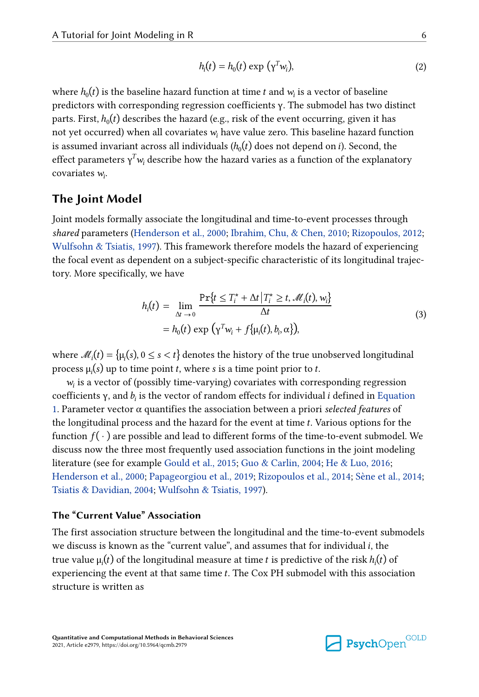$$
h_i(t) = h_0(t) \exp(\gamma^T w_i), \tag{2}
$$

<span id="page-5-0"></span>where  $h_0(t)$  is the baseline hazard function at time  $t$  and  $w_i$  is a vector of baseline predictors with corresponding regression coefficients γ. The submodel has two distinct parts. First,  $h_0(t)$  describes the hazard (e.g., risk of the event occurring, given it has not yet occurred) when all covariates  $w_i$  have value zero. This baseline hazard function is assumed invariant across all individuals  $(h_0(t)$  does not depend on *i*). Second, the effect parameters  $\gamma^T w_i$  describe how the hazard varies as a function of the explanatory covariates  $w_i$ .

## **The Joint Model**

Joint models formally associate the longitudinal and time-to-event processes through *shared* parameters ([Henderson et al., 2000;](#page-31-0) [Ibrahim, Chu, & Chen, 2010](#page-31-0); [Rizopoulos, 2012](#page-33-0); [Wulfsohn & Tsiatis, 1997\)](#page-35-0). This framework therefore models the hazard of experiencing the focal event as dependent on a subject-specific characteristic of its longitudinal trajectory. More specifically, we have

$$
h_i(t) = \lim_{\Delta t \to 0} \frac{\Pr\{t \le T_i^* + \Delta t | T_i^* \ge t, \mathcal{M}_i(t), w_i\}}{\Delta t}
$$
  
=  $h_0(t) \exp(\sqrt{w_i} + f\{\mu_i(t), b_i, \alpha\}),$  (3)

where  $\mathcal{M}_i(t) = \{\mu_i(s), 0 \le s < t\}$  denotes the history of the true unobserved longitudinal process  $\mu_i(s)$  up to time point t, where s is a time point prior to t.

 $w_i$  is a vector of (possibly time-varying) covariates with corresponding regression coefficients γ, and  $b_i$  is the vector of random effects for individual  $i$  defined in Equation [1.](#page-4-0) Parameter vector  $\alpha$  quantifies the association between a priori *selected features* of the longitudinal process and the hazard for the event at time t. Various options for the function  $f(\cdot)$  are possible and lead to different forms of the time-to-event submodel. We discuss now the three most frequently used association functions in the joint modeling literature (see for example [Gould et al., 2015;](#page-30-0) [Guo & Carlin, 2004;](#page-31-0) [He & Luo, 2016](#page-31-0); [Henderson et al., 2000](#page-31-0); [Papageorgiou et al., 2019](#page-32-0); [Rizopoulos et al., 2014;](#page-33-0) [Sène et al., 2014](#page-34-0); [Tsiatis & Davidian, 2004;](#page-35-0) [Wulfsohn & Tsiatis, 1997\)](#page-35-0).

# **The "Current Value" Association**

The first association structure between the longitudinal and the time-to-event submodels we discuss is known as the "current value", and assumes that for individual i, the true value  $\mu_i(t)$  of the longitudinal measure at time t is predictive of the risk  $h_i(t)$  of experiencing the event at that same time t. The Cox PH submodel with this association structure is written as

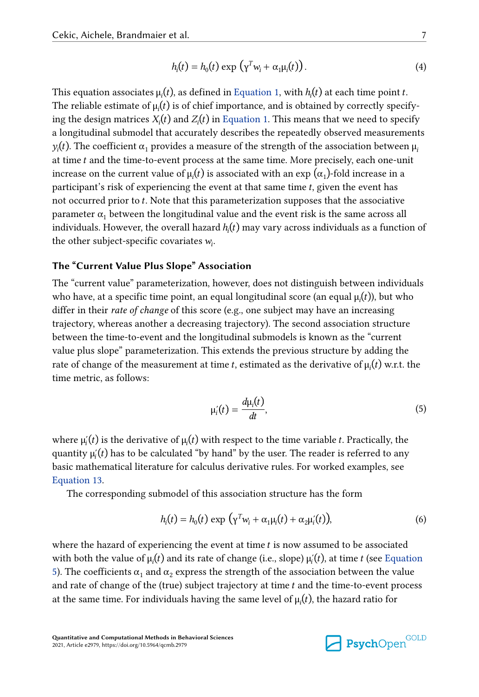$$
h_i(t) = h_0(t) \exp \left(\gamma^T w_i + \alpha_1 \mu_i(t)\right).
$$
 (4)

<span id="page-6-0"></span>This equation associates  $\mu_i(t)$ , as defined in [Equation 1,](#page-4-0) with  $h_i(t)$  at each time point t. The reliable estimate of  $\mu_i(t)$  is of chief importance, and is obtained by correctly specifying the design matrices  $X_i(t)$  and  $Z_i(t)$  in [Equation 1.](#page-4-0) This means that we need to specify a longitudinal submodel that accurately describes the repeatedly observed measurements  $y_i(t)$ . The coefficient α<sub>1</sub> provides a measure of the strength of the association between  $μ_i$ at time  $t$  and the time-to-event process at the same time. More precisely, each one-unit increase on the current value of  $\mu_i(t)$  is associated with an exp ( $\alpha_1$ )-fold increase in a participant's risk of experiencing the event at that same time  $t$ , given the event has not occurred prior to t. Note that this parameterization supposes that the associative parameter  $\alpha_1$  between the longitudinal value and the event risk is the same across all individuals. However, the overall hazard  $h<sub>i</sub>(t)$  may vary across individuals as a function of the other subject-specific covariates  $w_i$ .

#### **The "Current Value Plus Slope" Association**

The "current value" parameterization, however, does not distinguish between individuals who have, at a specific time point, an equal longitudinal score (an equal  $\mu_i(t)$ ), but who differ in their *rate of change* of this score (e.g., one subject may have an increasing trajectory, whereas another a decreasing trajectory). The second association structure between the time-to-event and the longitudinal submodels is known as the "current value plus slope" parameterization. This extends the previous structure by adding the rate of change of the measurement at time t, estimated as the derivative of  $\mu_i(t)$  w.r.t. the time metric, as follows:

$$
\mu_i'(t) = \frac{d\mu_i(t)}{dt},\tag{5}
$$

where  $\mu_i(t)$  is the derivative of  $\mu_i(t)$  with respect to the time variable t. Practically, the quantity  $\mu_i(t)$  has to be calculated "by hand" by the user. The reader is referred to any basic mathematical literature for calculus derivative rules. For worked examples, see [Equation 13.](#page-21-0)

The corresponding submodel of this association structure has the form

$$
h_i(t) = h_0(t) \exp \left(\gamma^T w_i + \alpha_1 \mu_i(t) + \alpha_2 \mu_i'(t)\right),\tag{6}
$$

where the hazard of experiencing the event at time  $t$  is now assumed to be associated with both the value of  $\mu(t)$  and its rate of change (i.e., slope)  $\mu'(t)$ , at time t (see Equation 5). The coefficients  $\alpha_1$  and  $\alpha_2$  express the strength of the association between the value and rate of change of the (true) subject trajectory at time t and the time-to-event process at the same time. For individuals having the same level of  $\mu_i(t)$ , the hazard ratio for

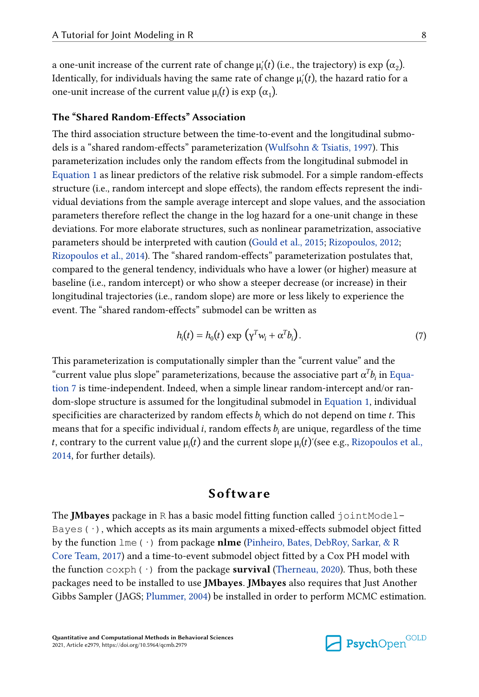a one-unit increase of the current rate of change  $\mu_i'(t)$  (i.e., the trajectory) is exp ( $\alpha_2$ ). Identically, for individuals having the same rate of change  $\mu_i(t)$ , the hazard ratio for a one-unit increase of the current value  $\mu_i(t)$  is exp  $(\alpha_1)$ .

### **The "Shared Random-Effects" Association**

The third association structure between the time-to-event and the longitudinal submodels is a "shared random-effects" parameterization [\(Wulfsohn & Tsiatis, 1997\)](#page-35-0). This parameterization includes only the random effects from the longitudinal submodel in [Equation 1](#page-4-0) as linear predictors of the relative risk submodel. For a simple random-effects structure (i.e., random intercept and slope effects), the random effects represent the individual deviations from the sample average intercept and slope values, and the association parameters therefore reflect the change in the log hazard for a one-unit change in these deviations. For more elaborate structures, such as nonlinear parametrization, associative parameters should be interpreted with caution [\(Gould et al., 2015](#page-30-0); [Rizopoulos, 2012;](#page-33-0) [Rizopoulos et al., 2014](#page-33-0)). The "shared random-effects" parameterization postulates that, compared to the general tendency, individuals who have a lower (or higher) measure at baseline (i.e., random intercept) or who show a steeper decrease (or increase) in their longitudinal trajectories (i.e., random slope) are more or less likely to experience the event. The "shared random-effects" submodel can be written as

$$
h_i(t) = h_0(t) \exp \left(\gamma^T w_i + \alpha^T b_i\right). \tag{7}
$$

This parameterization is computationally simpler than the "current value" and the "current value plus slope" parameterizations, because the associative part  $\alpha^Tb_i$  in Equation 7 is time-independent. Indeed, when a simple linear random-intercept and/or random-slope structure is assumed for the longitudinal submodel in [Equation 1,](#page-4-0) individual specificities are characterized by random effects  $b_i$  which do not depend on time t. This means that for a specific individual *i*, random effects  $b_i$  are unique, regardless of the time t, contrary to the current value  $\mu_i(t)$  and the current slope  $\mu_i(t)'$  (see e.g., Rizopoulos et al., [2014,](#page-33-0) for further details).

# **Software**

The **JMbayes** package in R has a basic model fitting function called jointModel-Bayes  $(\cdot)$ , which accepts as its main arguments a mixed-effects submodel object fitted by the function lme(·) from package **nlme** [\(Pinheiro, Bates, DebRoy, Sarkar, & R](#page-32-0)  [Core Team, 2017\)](#page-32-0) and a time-to-event submodel object fitted by a Cox PH model with the function  $\cosh(\cdot)$  from the package **survival** ([Therneau, 2020](#page-34-0)). Thus, both these packages need to be installed to use **JMbayes**. **JMbayes** also requires that Just Another Gibbs Sampler (JAGS; [Plummer, 2004\)](#page-33-0) be installed in order to perform MCMC estimation.

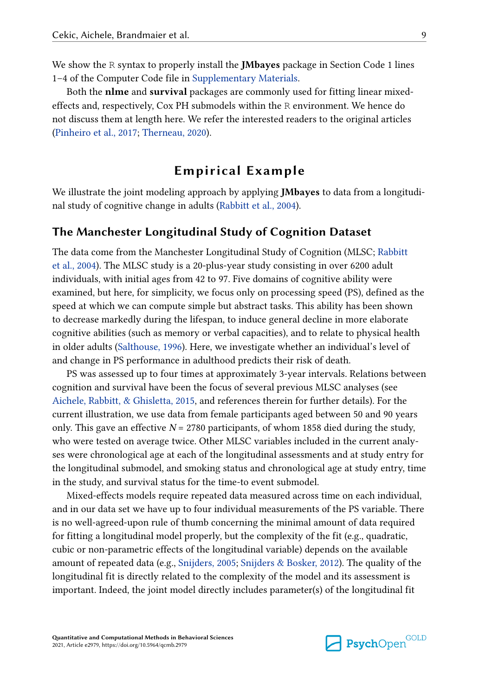We show the R syntax to properly install the **JMbayes** package in Section Code 1 lines 1–4 of the Computer Code file in [Supplementary Materials.](#page-29-0)

Both the **nlme** and **survival** packages are commonly used for fitting linear mixedeffects and, respectively, Cox PH submodels within the R environment. We hence do not discuss them at length here. We refer the interested readers to the original articles [\(Pinheiro et al., 2017](#page-32-0); [Therneau, 2020\)](#page-34-0).

# **Empirical Example**

We illustrate the joint modeling approach by applying **JMbayes** to data from a longitudinal study of cognitive change in adults [\(Rabbitt et al., 2004](#page-33-0)).

### **The Manchester Longitudinal Study of Cognition Dataset**

The data come from the Manchester Longitudinal Study of Cognition (MLSC; [Rabbitt](#page-33-0) [et al., 2004\)](#page-33-0). The MLSC study is a 20-plus-year study consisting in over 6200 adult individuals, with initial ages from 42 to 97. Five domains of cognitive ability were examined, but here, for simplicity, we focus only on processing speed (PS), defined as the speed at which we can compute simple but abstract tasks. This ability has been shown to decrease markedly during the lifespan, to induce general decline in more elaborate cognitive abilities (such as memory or verbal capacities), and to relate to physical health in older adults [\(Salthouse, 1996\)](#page-34-0). Here, we investigate whether an individual's level of and change in PS performance in adulthood predicts their risk of death.

PS was assessed up to four times at approximately 3-year intervals. Relations between cognition and survival have been the focus of several previous MLSC analyses (see [Aichele, Rabbitt, & Ghisletta, 2015](#page-30-0), and references therein for further details). For the current illustration, we use data from female participants aged between 50 and 90 years only. This gave an effective  $N = 2780$  participants, of whom 1858 died during the study, who were tested on average twice. Other MLSC variables included in the current analyses were chronological age at each of the longitudinal assessments and at study entry for the longitudinal submodel, and smoking status and chronological age at study entry, time in the study, and survival status for the time-to event submodel.

Mixed-effects models require repeated data measured across time on each individual, and in our data set we have up to four individual measurements of the PS variable. There is no well-agreed-upon rule of thumb concerning the minimal amount of data required for fitting a longitudinal model properly, but the complexity of the fit (e.g., quadratic, cubic or non-parametric effects of the longitudinal variable) depends on the available amount of repeated data (e.g., [Snijders, 2005; Snijders & Bosker, 2012](#page-34-0)). The quality of the longitudinal fit is directly related to the complexity of the model and its assessment is important. Indeed, the joint model directly includes parameter(s) of the longitudinal fit

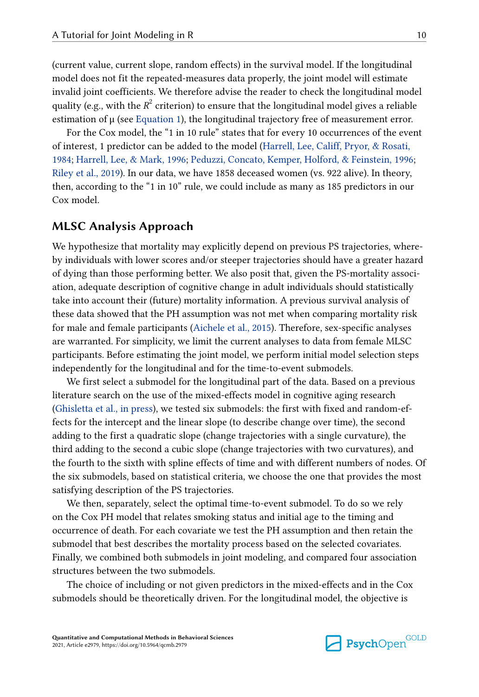(current value, current slope, random effects) in the survival model. If the longitudinal model does not fit the repeated-measures data properly, the joint model will estimate invalid joint coefficients. We therefore advise the reader to check the longitudinal model quality (e.g., with the  $R^2$  criterion) to ensure that the longitudinal model gives a reliable estimation of  $\mu$  (see [Equation 1\)](#page-4-0), the longitudinal trajectory free of measurement error.

For the Cox model, the "1 in 10 rule" states that for every 10 occurrences of the event of interest, 1 predictor can be added to the model ([Harrell, Lee, Califf, Pryor, & Rosati,](#page-31-0)  [1984; Harrell, Lee, & Mark, 1996;](#page-31-0) [Peduzzi, Concato, Kemper, Holford, & Feinstein, 1996;](#page-32-0) [Riley et al., 2019](#page-33-0)). In our data, we have 1858 deceased women (vs. 922 alive). In theory, then, according to the "1 in 10" rule, we could include as many as 185 predictors in our Cox model.

# **MLSC Analysis Approach**

We hypothesize that mortality may explicitly depend on previous PS trajectories, whereby individuals with lower scores and/or steeper trajectories should have a greater hazard of dying than those performing better. We also posit that, given the PS-mortality association, adequate description of cognitive change in adult individuals should statistically take into account their (future) mortality information. A previous survival analysis of these data showed that the PH assumption was not met when comparing mortality risk for male and female participants ([Aichele et al., 2015\)](#page-30-0). Therefore, sex-specific analyses are warranted. For simplicity, we limit the current analyses to data from female MLSC participants. Before estimating the joint model, we perform initial model selection steps independently for the longitudinal and for the time-to-event submodels.

We first select a submodel for the longitudinal part of the data. Based on a previous literature search on the use of the mixed-effects model in cognitive aging research [\(Ghisletta et al., in press](#page-30-0)), we tested six submodels: the first with fixed and random-effects for the intercept and the linear slope (to describe change over time), the second adding to the first a quadratic slope (change trajectories with a single curvature), the third adding to the second a cubic slope (change trajectories with two curvatures), and the fourth to the sixth with spline effects of time and with different numbers of nodes. Of the six submodels, based on statistical criteria, we choose the one that provides the most satisfying description of the PS trajectories.

We then, separately, select the optimal time-to-event submodel. To do so we rely on the Cox PH model that relates smoking status and initial age to the timing and occurrence of death. For each covariate we test the PH assumption and then retain the submodel that best describes the mortality process based on the selected covariates. Finally, we combined both submodels in joint modeling, and compared four association structures between the two submodels.

The choice of including or not given predictors in the mixed-effects and in the Cox submodels should be theoretically driven. For the longitudinal model, the objective is

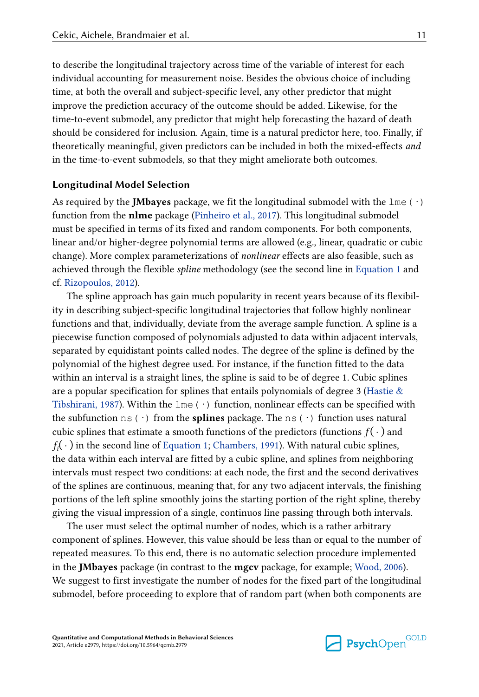to describe the longitudinal trajectory across time of the variable of interest for each individual accounting for measurement noise. Besides the obvious choice of including time, at both the overall and subject-specific level, any other predictor that might improve the prediction accuracy of the outcome should be added. Likewise, for the time-to-event submodel, any predictor that might help forecasting the hazard of death should be considered for inclusion. Again, time is a natural predictor here, too. Finally, if theoretically meaningful, given predictors can be included in both the mixed-effects *and*  in the time-to-event submodels, so that they might ameliorate both outcomes.

#### **Longitudinal Model Selection**

As required by the **JMbayes** package, we fit the longitudinal submodel with the  $\text{1me}$  ( $\cdot$ ) function from the **nlme** package [\(Pinheiro et al., 2017](#page-32-0)). This longitudinal submodel must be specified in terms of its fixed and random components. For both components, linear and/or higher-degree polynomial terms are allowed (e.g., linear, quadratic or cubic change). More complex parameterizations of *nonlinear* effects are also feasible, such as achieved through the flexible *spline* methodology (see the second line in [Equation 1](#page-4-0) and cf. [Rizopoulos, 2012](#page-33-0)).

The spline approach has gain much popularity in recent years because of its flexibility in describing subject-specific longitudinal trajectories that follow highly nonlinear functions and that, individually, deviate from the average sample function. A spline is a piecewise function composed of polynomials adjusted to data within adjacent intervals, separated by equidistant points called nodes. The degree of the spline is defined by the polynomial of the highest degree used. For instance, if the function fitted to the data within an interval is a straight lines, the spline is said to be of degree 1. Cubic splines are a popular specification for splines that entails polynomials of degree 3 (Hastie  $\&$ [Tibshirani, 1987](#page-31-0)). Within the  $\text{1me}(\cdot)$  function, nonlinear effects can be specified with the subfunction  $ns(\cdot)$  from the **splines** package. The  $ns(\cdot)$  function uses natural cubic splines that estimate a smooth functions of the predictors (functions  $f(\cdot)$  and  $f_i(\cdot)$  in the second line of [Equation 1](#page-4-0); [Chambers, 1991\)](#page-30-0). With natural cubic splines, the data within each interval are fitted by a cubic spline, and splines from neighboring intervals must respect two conditions: at each node, the first and the second derivatives of the splines are continuous, meaning that, for any two adjacent intervals, the finishing portions of the left spline smoothly joins the starting portion of the right spline, thereby giving the visual impression of a single, continuos line passing through both intervals.

The user must select the optimal number of nodes, which is a rather arbitrary component of splines. However, this value should be less than or equal to the number of repeated measures. To this end, there is no automatic selection procedure implemented in the **JMbayes** package (in contrast to the **mgcv** package, for example; [Wood, 2006\)](#page-35-0). We suggest to first investigate the number of nodes for the fixed part of the longitudinal submodel, before proceeding to explore that of random part (when both components are

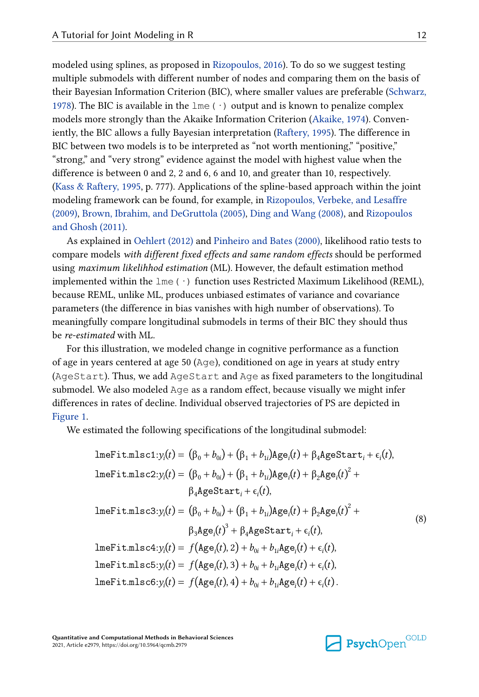<span id="page-11-0"></span>modeled using splines, as proposed in [Rizopoulos, 2016](#page-33-0)). To do so we suggest testing multiple submodels with different number of nodes and comparing them on the basis of their Bayesian Information Criterion (BIC), where smaller values are preferable ([Schwarz,](#page-34-0)  [1978\)](#page-34-0). The BIC is available in the  $l$ me ( $\cdot$ ) output and is known to penalize complex models more strongly than the Akaike Information Criterion [\(Akaike, 1974](#page-30-0)). Conveniently, the BIC allows a fully Bayesian interpretation ([Raftery, 1995](#page-33-0)). The difference in BIC between two models is to be interpreted as "not worth mentioning," "positive," "strong," and "very strong" evidence against the model with highest value when the difference is between 0 and 2, 2 and 6, 6 and 10, and greater than 10, respectively. [\(Kass & Raftery, 1995,](#page-31-0) p. 777). Applications of the spline-based approach within the joint modeling framework can be found, for example, in [Rizopoulos, Verbeke, and Lesaffre](#page-34-0)  [\(2009\),](#page-34-0) [Brown, Ibrahim, and DeGruttola \(2005\), Ding and Wang \(2008\),](#page-30-0) and [Rizopoulos](#page-33-0)  [and Ghosh \(2011\)](#page-33-0).

As explained in [Oehlert \(2012\)](#page-32-0) and [Pinheiro and Bates \(2000\),](#page-32-0) likelihood ratio tests to compare models *with different fixed effects and same random effects* should be performed using *maximum likelihhod estimation* (ML). However, the default estimation method implemented within the  $l$ me( $\cdot$ ) function uses Restricted Maximum Likelihood (REML), because REML, unlike ML, produces unbiased estimates of variance and covariance parameters (the difference in bias vanishes with high number of observations). To meaningfully compare longitudinal submodels in terms of their BIC they should thus be *re-estimated* with ML.

For this illustration, we modeled change in cognitive performance as a function of age in years centered at age 50 (Age), conditioned on age in years at study entry (AgeStart). Thus, we add AgeStart and Age as fixed parameters to the longitudinal submodel. We also modeled Age as a random effect, because visually we might infer differences in rates of decline. Individual observed trajectories of PS are depicted in [Figure 1](#page-12-0).

We estimated the following specifications of the longitudinal submodel:

$$
\text{Im}(\text{Fit.mlsc1:}\mathbf{y}_i(t) = (\beta_0 + b_{0i}) + (\beta_1 + b_{1i})\text{Age}_i(t) + \beta_4 \text{AgeStart}_i + \epsilon_i(t),
$$
\n
$$
\text{Im}(\text{Fit.mlsc2:}\mathbf{y}_i(t) = (\beta_0 + b_{0i}) + (\beta_1 + b_{1i})\text{Age}_i(t) + \beta_2 \text{Age}_i(t)^2 + \beta_4 \text{AgeStart}_i + \epsilon_i(t),
$$
\n
$$
\text{Im}(\text{Fit.mlsc3:}\mathbf{y}_i(t) = (\beta_0 + b_{0i}) + (\beta_1 + b_{1i})\text{Age}_i(t) + \beta_2 \text{Age}_i(t)^2 + \beta_3 \text{Age}_i(t)^3 + \beta_4 \text{AgeStart}_i + \epsilon_i(t),
$$
\n
$$
\text{Im}(\text{Fit.mlsc4:}\mathbf{y}_i(t) = f(\text{Age}_i(t), 2) + b_{0i} + b_{1i}\text{Age}_i(t) + \epsilon_i(t),
$$
\n
$$
\text{Im}(\text{Fit.mlsc5:}\mathbf{y}_i(t) = f(\text{Age}_i(t), 3) + b_{0i} + b_{1i}\text{Age}_i(t) + \epsilon_i(t),
$$
\n
$$
\text{Im}(\text{Fit.mlsc5:}\mathbf{y}_i(t) = f(\text{Age}_i(t), 4) + b_{0i} + b_{1i}\text{Age}_i(t) + \epsilon_i(t).
$$

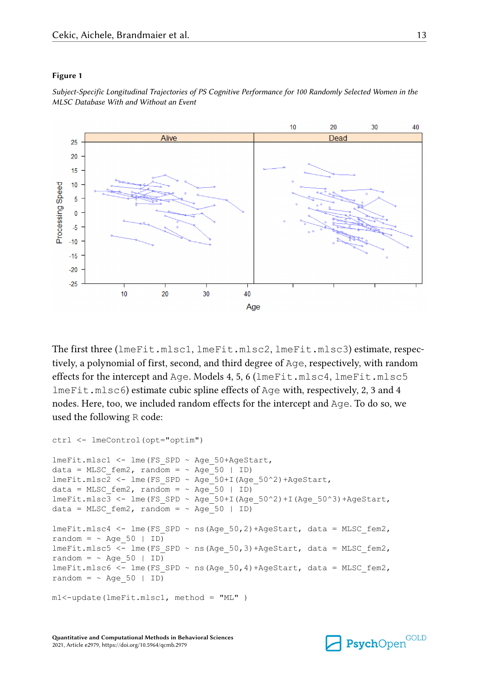#### <span id="page-12-0"></span>**Figure 1**

*Subject-Specific Longitudinal Trajectories of PS Cognitive Performance for 100 Randomly Selected Women in the MLSC Database With and Without an Event*



The first three (lmeFit.mlsc1, lmeFit.mlsc2, lmeFit.mlsc3) estimate, respectively, a polynomial of first, second, and third degree of Age, respectively, with random effects for the intercept and Age. Models 4, 5, 6 (lmeFit.mlsc4, lmeFit.mlsc5 lmeFit.mlsc6) estimate cubic spline effects of Age with, respectively, 2, 3 and 4 nodes. Here, too, we included random effects for the intercept and Age. To do so, we used the following R code:

```
ctrl <- lmeControl(opt="optim")
lmeFit.mlsc1 <- lme(FS SPD ~ Age 50+AgeStart,
data = MLSC fem2, random = ~\sim Age 50 | ID)
lmerit.mlsc2 \leq -lme(FS SPD ~ Age_50+I(Age_50^2)+AgeStart,
data = MLSC fem2, random = \sim Age 50 | ID)
lmeFit.mlsc3 <- lme(FS SPD ~ Age 50+I(Age 50^2)+I(Age 50^3)+AgeStart,
data = MLSC fem2, random = ~\sim Age 50 | ID)
lmeFit.mlsc4 <- lme(FS SPD ~ ns(Age 50,2)+AgeStart, data = MLSC fem2,
random = \sim Age 50 | ID)
lmeFit.mlsc5 < -lme(FS SPD ~ ns(Age 50,3)+AgeStart, data = MLSC fem2,
random = \sim Age 50 | ID)
lmeFit.mlsc6 <- lme(FS SPD ~ ns(Age 50,4)+AgeStart, data = MLSC fem2,
random = \sim Age 50 | ID)
m1<-update(lmeFit.mlsc1, method = "ML" )
```


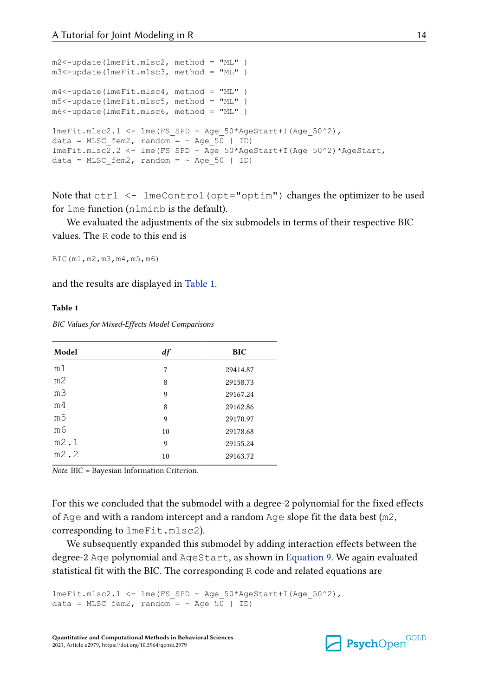```
m2<-update(lmeFit.mlsc2, method = "ML" )
m3<-update(lmeFit.mlsc3, method = "ML" )
m4<-update(lmeFit.mlsc4, method = "ML" )
m5<-update(lmeFit.mlsc5, method = "ML" )
m6<-update(lmeFit.mlsc6, method = "ML" )
lmeFit.mlsc2.1 < -lme(FS SPD ~ Age 50*Agestart+I(Age 50^2),
data = MLSC fem2, random = ~\sim Age 50 | ID)
lmeFit.mlsc2.2 <- lme(FS_SPD ~ Age_50*AgeStart+I(Age_50^2)*AgeStart,
data = MLSC fem2, random = ~\sim Age 50 | ID)
```
Note that ctrl <- lmeControl(opt="optim") changes the optimizer to be used for lme function (nlminb is the default).

We evaluated the adjustments of the six submodels in terms of their respective BIC values. The R code to this end is

BIC(m1,m2,m3,m4,m5,m6)

and the results are displayed in Table 1.

#### **Table 1**

*BIC Values for Mixed-Effects Model Comparisons*

| Model          | $\boldsymbol{d}$ f | <b>BIC</b> |
|----------------|--------------------|------------|
| m1             | 7                  | 29414.87   |
| m <sub>2</sub> | 8                  | 29158.73   |
| mЗ             | 9                  | 29167.24   |
| m <sub>4</sub> | 8                  | 29162.86   |
| m5             | 9                  | 29170.97   |
| m6             | 10                 | 29178.68   |
| m2.1           | 9                  | 29155.24   |
| m2.2           | 10                 | 29163.72   |

*Note.* BIC = Bayesian Information Criterion.

For this we concluded that the submodel with a degree-2 polynomial for the fixed effects of Age and with a random intercept and a random Age slope fit the data best  $(m2)$ , corresponding to lmeFit.mlsc2).

We subsequently expanded this submodel by adding interaction effects between the degree-2 Age polynomial and AgeStart, as shown in [Equation 9.](#page-14-0) We again evaluated statistical fit with the BIC. The corresponding R code and related equations are

```
lmeFit.mlsc2.1 <- lme(FS SPD ~ Age 50*AgeStart+I(Age 50^2),
data = MLSC fem2, random = ~\sim Age 50 | ID)
```
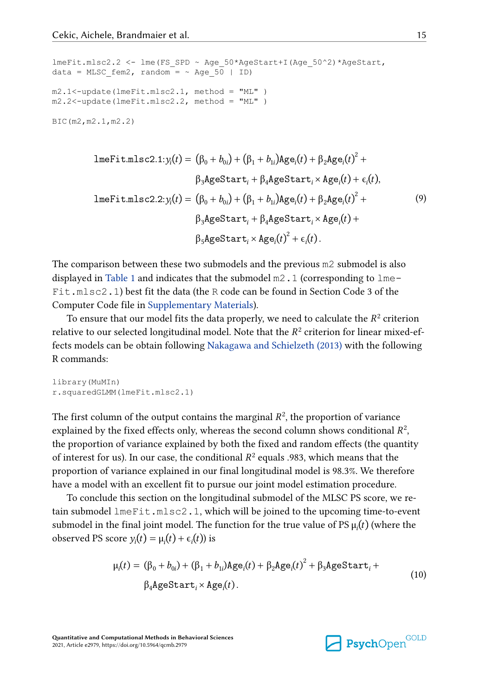```
lmeFit.mlsc2.2 <- lme(FS_SPD ~ Age_50*AgeStart+I(Age_50^2)*AgeStart,
data = MLSC fem2, random = ~\sim Age 50 | ID)
m2.1<-update(lmeFit.mlsc2.1, method = "ML" )
m2.2<-update(lmeFit.mlsc2.2, method = "ML" )
BIC(m2,m2.1,m2.2)
```

$$
\text{Imefit.mlsc2.1:}\mathbf{y}_i(t) = (\beta_0 + b_{0i}) + (\beta_1 + b_{1i})\text{Age}_i(t) + \beta_2 \text{Age}_i(t)^2 + \beta_3 \text{AgeStart}_i + \beta_4 \text{AgeStart}_i \times \text{Age}_i(t) + \epsilon_i(t),
$$
\n
$$
\text{Imefit.mlsc2.2:}\mathbf{y}_i(t) = (\beta_0 + b_{0i}) + (\beta_1 + b_{1i})\text{Age}_i(t) + \beta_2 \text{Age}_i(t)^2 + \beta_3 \text{AgeStart}_i + \beta_4 \text{AgeStart}_i \times \text{Age}_i(t) + \beta_5 \text{AgeStart}_i \times \text{Age}_i(t)^2 + \epsilon_i(t).
$$
\n(9)

The comparison between these two submodels and the previous m2 submodel is also displayed in [Table 1](#page-13-0) and indicates that the submodel m2.1 (corresponding to lme-Fit.mlsc2.1) best fit the data (the R code can be found in Section Code 3 of the Computer Code file in [Supplementary Materials](#page-29-0)).

To ensure that our model fits the data properly, we need to calculate the  $R^2$  criterion relative to our selected longitudinal model. Note that the  $R^2$  criterion for linear mixed-effects models can be obtain following [Nakagawa and Schielzeth \(2013\)](#page-32-0) with the following R commands:

library(MuMIn) r.squaredGLMM(lmeFit.mlsc2.1)

The first column of the output contains the marginal  $R<sup>2</sup>$ , the proportion of variance explained by the fixed effects only, whereas the second column shows conditional  $R^2$ , the proportion of variance explained by both the fixed and random effects (the quantity of interest for us). In our case, the conditional  $R^2$  equals .983, which means that the proportion of variance explained in our final longitudinal model is 98.3%. We therefore have a model with an excellent fit to pursue our joint model estimation procedure.

To conclude this section on the longitudinal submodel of the MLSC PS score, we retain submodel lmeFit.mlsc2.1, which will be joined to the upcoming time-to-event submodel in the final joint model. The function for the true value of PS  $\mu(t)$  (where the observed PS score  $y_i(t) = \mu_i(t) + \epsilon_i(t)$ ) is

$$
\mu_i(t) = (\beta_0 + b_{0i}) + (\beta_1 + b_{1i})Age_i(t) + \beta_2 Age_i(t)^2 + \beta_3 AgeStart_i +
$$
  
\n
$$
\beta_4 AgeStart_i \times Age_i(t).
$$
 (10)

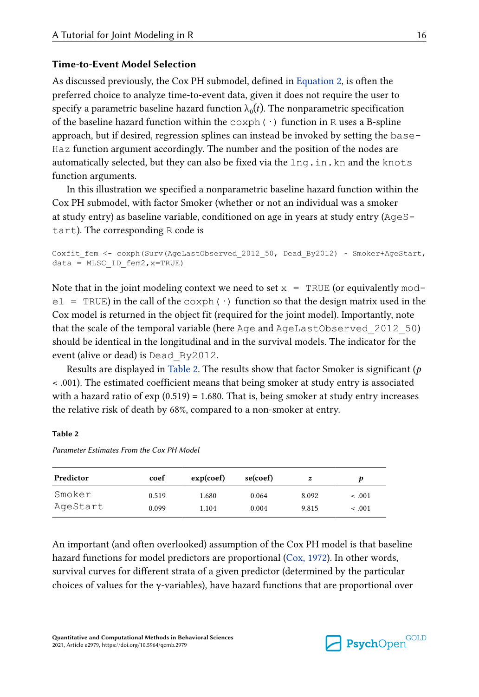### **Time-to-Event Model Selection**

As discussed previously, the Cox PH submodel, defined in [Equation 2,](#page-5-0) is often the preferred choice to analyze time-to-event data, given it does not require the user to specify a parametric baseline hazard function  $\lambda_0(t)$ . The nonparametric specification of the baseline hazard function within the  $\cosh(\cdot)$  function in R uses a B-spline approach, but if desired, regression splines can instead be invoked by setting the base-Haz function argument accordingly. The number and the position of the nodes are automatically selected, but they can also be fixed via the  $ln q$ , in. kn and the knots function arguments.

In this illustration we specified a nonparametric baseline hazard function within the Cox PH submodel, with factor Smoker (whether or not an individual was a smoker at study entry) as baseline variable, conditioned on age in years at study entry (AgeStart). The corresponding R code is

```
Coxfit fem <- coxph(Surv(AgeLastObserved 2012 50, Dead By2012) ~ Smoker+AgeStart,
data = MLSCID fem2, x=TRUE)
```
Note that in the joint modeling context we need to set  $x = TRUE$  (or equivalently mod $e1 = TRUE$ ) in the call of the coxph( $\cdot$ ) function so that the design matrix used in the Cox model is returned in the object fit (required for the joint model). Importantly, note that the scale of the temporal variable (here Age and AgeLastObserved\_2012\_50) should be identical in the longitudinal and in the survival models. The indicator for the event (alive or dead) is Dead\_By2012.

Results are displayed in Table 2. The results show that factor Smoker is significant (*p*  < .001). The estimated coefficient means that being smoker at study entry is associated with a hazard ratio of  $exp(0.519) = 1.680$ . That is, being smoker at study entry increases the relative risk of death by 68%, compared to a non-smoker at entry.

#### **Table 2**

*Parameter Estimates From the Cox PH Model*

| Predictor | coef  | exp(coef) | se(coef) | z     |         |
|-----------|-------|-----------|----------|-------|---------|
| Smoker    | 0.519 | 1.680     | 0.064    | 8.092 | $-.001$ |
| AgeStart  | 0.099 | 1.104     | 0.004    | 9.815 | $-.001$ |

An important (and often overlooked) assumption of the Cox PH model is that baseline hazard functions for model predictors are proportional ([Cox, 1972](#page-30-0)). In other words, survival curves for different strata of a given predictor (determined by the particular choices of values for the γ-variables), have hazard functions that are proportional over

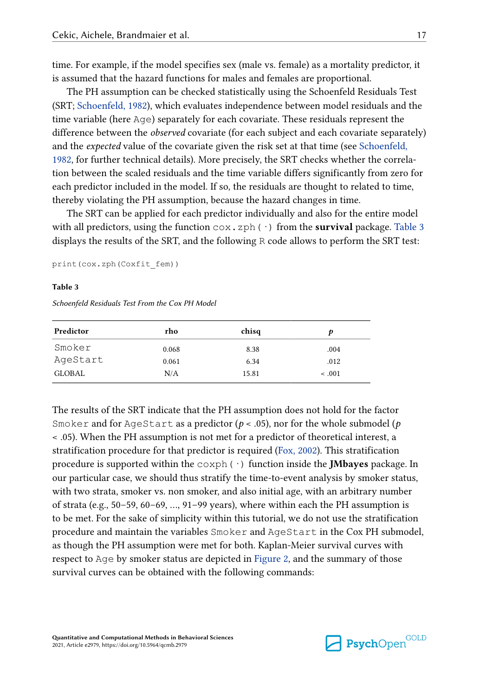<span id="page-16-0"></span>time. For example, if the model specifies sex (male vs. female) as a mortality predictor, it is assumed that the hazard functions for males and females are proportional.

The PH assumption can be checked statistically using the Schoenfeld Residuals Test (SRT; [Schoenfeld, 1982\)](#page-34-0), which evaluates independence between model residuals and the time variable (here Age) separately for each covariate. These residuals represent the difference between the *observed* covariate (for each subject and each covariate separately) and the *expected* value of the covariate given the risk set at that time (see [Schoenfeld,](#page-34-0) [1982,](#page-34-0) for further technical details). More precisely, the SRT checks whether the correlation between the scaled residuals and the time variable differs significantly from zero for each predictor included in the model. If so, the residuals are thought to related to time, thereby violating the PH assumption, because the hazard changes in time.

The SRT can be applied for each predictor individually and also for the entire model with all predictors, using the function  $\cos z$  zph( $\cdot$ ) from the **survival** package. Table 3 displays the results of the SRT, and the following R code allows to perform the SRT test:

print(cox.zph(Coxfit\_fem))

#### **Table 3**

*Schoenfeld Residuals Test From the Cox PH Model*

| Predictor | rho   | chisq |         |
|-----------|-------|-------|---------|
| Smoker    | 0.068 | 8.38  | .004    |
| AgeStart  | 0.061 | 6.34  | .012    |
| GLOBAL    | N/A   | 15.81 | $-.001$ |

The results of the SRT indicate that the PH assumption does not hold for the factor Smoker and for AgeStart as a predictor (*p* < .05), nor for the whole submodel (*p*  < .05). When the PH assumption is not met for a predictor of theoretical interest, a stratification procedure for that predictor is required ([Fox, 2002\)](#page-30-0). This stratification procedure is supported within the coxph(·) function inside the **JMbayes** package. In our particular case, we should thus stratify the time-to-event analysis by smoker status, with two strata, smoker vs. non smoker, and also initial age, with an arbitrary number of strata (e.g., 50–59, 60–69, …, 91–99 years), where within each the PH assumption is to be met. For the sake of simplicity within this tutorial, we do not use the stratification procedure and maintain the variables Smoker and AgeStart in the Cox PH submodel, as though the PH assumption were met for both. Kaplan-Meier survival curves with respect to Age by smoker status are depicted in [Figure 2,](#page-17-0) and the summary of those survival curves can be obtained with the following commands:

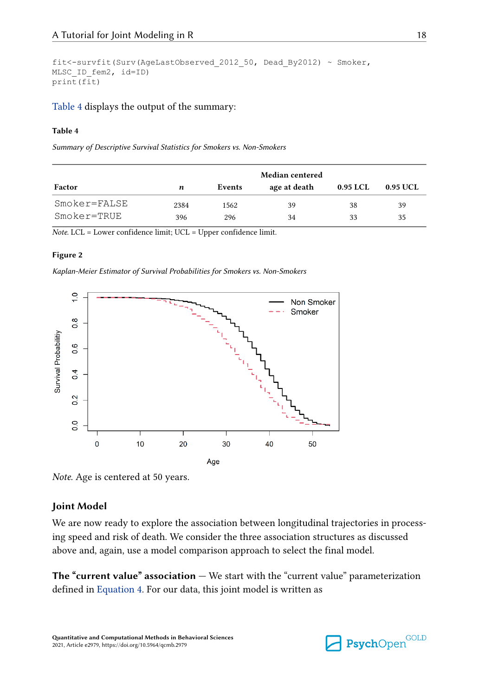```
fit<-survfit(Surv(AgeLastObserved_2012_50, Dead_By2012) ~ Smoker,
MLSC_ID_fem2, id=ID)
print(fit)
```
[Table 4](#page-16-0) displays the output of the summary:

#### **Table 4**

*Summary of Descriptive Survival Statistics for Smokers vs. Non-Smokers*

|              | Median centered |        |              |          |          |
|--------------|-----------------|--------|--------------|----------|----------|
| Factor       | n               | Events | age at death | 0.95 LCL | 0.95 UCL |
| Smoker=FALSE | 2384            | 1562   | 39           | 38       | 39       |
| Smoker=TRUE  | 396             | 296    | 34           | 33       | 35       |

*Note.* LCL = Lower confidence limit; UCL = Upper confidence limit.

#### **Figure 2**

*Kaplan-Meier Estimator of Survival Probabilities for Smokers vs. Non-Smokers*



*Note.* Age is centered at 50 years.

#### **Joint Model**

We are now ready to explore the association between longitudinal trajectories in processing speed and risk of death. We consider the three association structures as discussed above and, again, use a model comparison approach to select the final model.

**The "current value" association —** We start with the "current value" parameterization defined in [Equation 4.](#page-6-0) For our data, this joint model is written as

**Psych**Open<sup>GOLD</sup>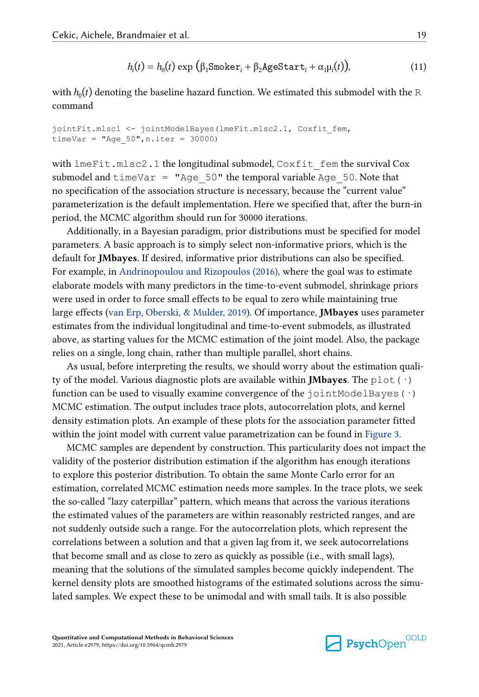$$
h_i(t) = h_0(t) \exp \left( \beta_1 \text{Smoker}_i + \beta_2 \text{AgeStart}_i + \alpha_1 \mu_i(t) \right),\tag{11}
$$

<span id="page-18-0"></span>with  $h_0(t)$  denoting the baseline hazard function. We estimated this submodel with the  $\mathsf R$ command

```
jointFit.mlsc1 <- jointModelBayes(lmeFit.mlsc2.1, Coxfit_fem,
timeVar = "Age 50",n.iter = 30000)
```
with lmeFit.mlsc2.1 the longitudinal submodel, Coxfit\_fem the survival Cox submodel and  $\tt timeVar = "Age 50"$  the temporal variable Age 50. Note that no specification of the association structure is necessary, because the "current value" parameterization is the default implementation. Here we specified that, after the burn-in period, the MCMC algorithm should run for 30000 iterations.

Additionally, in a Bayesian paradigm, prior distributions must be specified for model parameters. A basic approach is to simply select non-informative priors, which is the default for **JMbayes**. If desired, informative prior distributions can also be specified. For example, in [Andrinopoulou and Rizopoulos \(2016\),](#page-30-0) where the goal was to estimate elaborate models with many predictors in the time-to-event submodel, shrinkage priors were used in order to force small effects to be equal to zero while maintaining true large effects ([van Erp, Oberski, & Mulder, 2019](#page-35-0)). Of importance, **JMbayes** uses parameter estimates from the individual longitudinal and time-to-event submodels, as illustrated above, as starting values for the MCMC estimation of the joint model. Also, the package relies on a single, long chain, rather than multiple parallel, short chains.

As usual, before interpreting the results, we should worry about the estimation quality of the model. Various diagnostic plots are available within **JMbayes**. The plot(·) function can be used to visually examine convergence of the  $jointModelBayes(·)$ MCMC estimation. The output includes trace plots, autocorrelation plots, and kernel density estimation plots. An example of these plots for the association parameter fitted within the joint model with current value parametrization can be found in [Figure 3.](#page-19-0)

MCMC samples are dependent by construction. This particularity does not impact the validity of the posterior distribution estimation if the algorithm has enough iterations to explore this posterior distribution. To obtain the same Monte Carlo error for an estimation, correlated MCMC estimation needs more samples. In the trace plots, we seek the so-called "lazy caterpillar" pattern, which means that across the various iterations the estimated values of the parameters are within reasonably restricted ranges, and are not suddenly outside such a range. For the autocorrelation plots, which represent the correlations between a solution and that a given lag from it, we seek autocorrelations that become small and as close to zero as quickly as possible (i.e., with small lags), meaning that the solutions of the simulated samples become quickly independent. The kernel density plots are smoothed histograms of the estimated solutions across the simulated samples. We expect these to be unimodal and with small tails. It is also possible



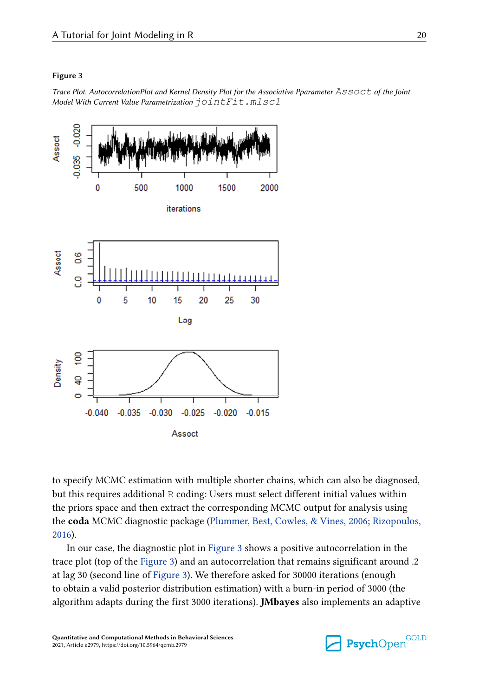#### <span id="page-19-0"></span>**Figure 3**

*Trace Plot, AutocorrelationPlot and Kernel Density Plot for the Associative Pparameter Assoct of the Joint Model With Current Value Parametrization jointFit.mlsc1*



to specify MCMC estimation with multiple shorter chains, which can also be diagnosed, but this requires additional R coding: Users must select different initial values within the priors space and then extract the corresponding MCMC output for analysis using the **coda** MCMC diagnostic package [\(Plummer, Best, Cowles, & Vines, 2006](#page-33-0); [Rizopoulos,](#page-33-0) [2016\)](#page-33-0).

In our case, the diagnostic plot in Figure 3 shows a positive autocorrelation in the trace plot (top of the Figure 3) and an autocorrelation that remains significant around .2 at lag 30 (second line of Figure 3). We therefore asked for 30000 iterations (enough to obtain a valid posterior distribution estimation) with a burn-in period of 3000 (the algorithm adapts during the first 3000 iterations). **JMbayes** also implements an adaptive

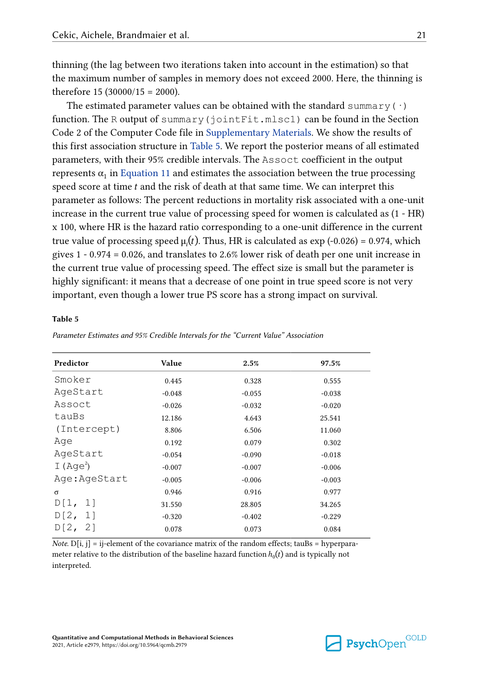thinning (the lag between two iterations taken into account in the estimation) so that the maximum number of samples in memory does not exceed 2000. Here, the thinning is therefore  $15 (30000/15 = 2000)$ .

The estimated parameter values can be obtained with the standard summary ( $\cdot$ ) function. The R output of summary(jointFit.mlsc1) can be found in the Section Code 2 of the Computer Code file in [Supplementary Materials](#page-29-0). We show the results of this first association structure in Table 5. We report the posterior means of all estimated parameters, with their 95% credible intervals. The Assoct coefficient in the output represents  $\alpha_1$  in [Equation 11](#page-18-0) and estimates the association between the true processing speed score at time  $t$  and the risk of death at that same time. We can interpret this parameter as follows: The percent reductions in mortality risk associated with a one-unit increase in the current true value of processing speed for women is calculated as (1 - HR) x 100, where HR is the hazard ratio corresponding to a one-unit difference in the current true value of processing speed  $\mu_i(t)$ . Thus, HR is calculated as exp (-0.026) = 0.974, which gives 1 - 0.974 = 0.026, and translates to 2.6% lower risk of death per one unit increase in the current true value of processing speed. The effect size is small but the parameter is highly significant: it means that a decrease of one point in true speed score is not very important, even though a lower true PS score has a strong impact on survival.

#### **Table 5**

| Predictor    | Value    | 2.5%     | 97.5%    |
|--------------|----------|----------|----------|
| Smoker       | 0.445    | 0.328    | 0.555    |
| AgeStart     | $-0.048$ | $-0.055$ | $-0.038$ |
| Assoct       | $-0.026$ | $-0.032$ | $-0.020$ |
| tauBs        | 12.186   | 4.643    | 25.541   |
| (Intercept)  | 8.806    | 6.506    | 11.060   |
| Aqe          | 0.192    | 0.079    | 0.302    |
| AgeStart     | $-0.054$ | $-0.090$ | $-0.018$ |
| I $(Aqe^2)$  | $-0.007$ | $-0.007$ | $-0.006$ |
| Age:AgeStart | $-0.005$ | $-0.006$ | $-0.003$ |
| $\sigma$     | 0.946    | 0.916    | 0.977    |
| D[1, 1]      | 31.550   | 28.805   | 34.265   |
| D[2,<br>11   | $-0.320$ | $-0.402$ | $-0.229$ |
| D[2,<br>- 21 | 0.078    | 0.073    | 0.084    |
|              |          |          |          |

*Parameter Estimates and 95% Credible Intervals for the "Current Value" Association*

*Note.*  $D[i, j] = ij$ -element of the covariance matrix of the random effects; tauBs = hyperparameter relative to the distribution of the baseline hazard function  $h_0(t)$  and is typically not interpreted.

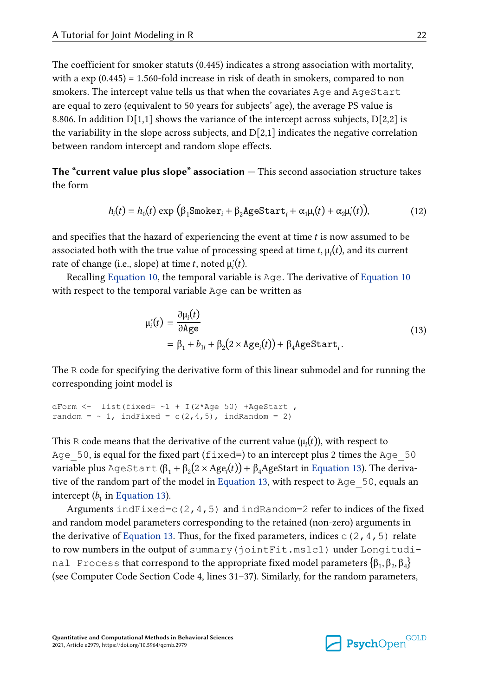<span id="page-21-0"></span>The coefficient for smoker statuts (0.445) indicates a strong association with mortality, with a exp (0.445) = 1.560-fold increase in risk of death in smokers, compared to non smokers. The intercept value tells us that when the covariates Age and AgeStart are equal to zero (equivalent to 50 years for subjects' age), the average PS value is 8.806. In addition  $D[1,1]$  shows the variance of the intercept across subjects,  $D[2,2]$  is the variability in the slope across subjects, and  $D[2,1]$  indicates the negative correlation between random intercept and random slope effects.

**The "current value plus slope" association —** This second association structure takes the form

$$
h_i(t) = h_0(t) \exp \left( \beta_1 \text{Smoker}_i + \beta_2 \text{AgeStart}_i + \alpha_1 \mu_i(t) + \alpha_2 \mu_i'(t) \right),\tag{12}
$$

and specifies that the hazard of experiencing the event at time t is now assumed to be associated both with the true value of processing speed at time t,  $\mu_i(t)$ , and its current rate of change (i.e., slope) at time t, noted  $\mu_i(t)$ .

Recalling [Equation 10,](#page-14-0) the temporal variable is Age. The derivative of [Equation 10](#page-14-0) with respect to the temporal variable Age can be written as

$$
\mu_i'(t) = \frac{\partial \mu_i(t)}{\partial \text{Age}} \\
= \beta_1 + b_{1i} + \beta_2(2 \times \text{Age}_i(t)) + \beta_4 \text{AgeStart}_i.
$$
\n(13)

The R code for specifying the derivative form of this linear submodel and for running the corresponding joint model is

```
dForm \le list(fixed= \sim1 + I(2*Age 50) +AgeStart ,
random = \sim 1, indFixed = c(2, 4, 5), indRandom = 2)
```
This R code means that the derivative of the current value ( $\mu_i(t)$ ), with respect to Age  $50$ , is equal for the fixed part (fixed=) to an intercept plus 2 times the Age  $50$ variable plus AgeStart ( $\beta_1 + \beta_2(2 \times Age_i(t)) + \beta_4 AgeStart$  in Equation 13). The derivative of the random part of the model in Equation 13, with respect to Age\_50, equals an intercept  $(b_1$  in Equation 13).

Arguments indFixed=c(2,4,5) and indRandom=2 refer to indices of the fixed and random model parameters corresponding to the retained (non-zero) arguments in the derivative of Equation 13. Thus, for the fixed parameters, indices  $\subset (2, 4, 5)$  relate to row numbers in the output of summary(jointFit.mslc1) under Longitudinal Process that correspond to the appropriate fixed model parameters  $\{\beta_1, \beta_2, \beta_4$ (see Computer Code Section Code 4, lines 31–37). Similarly, for the random parameters,

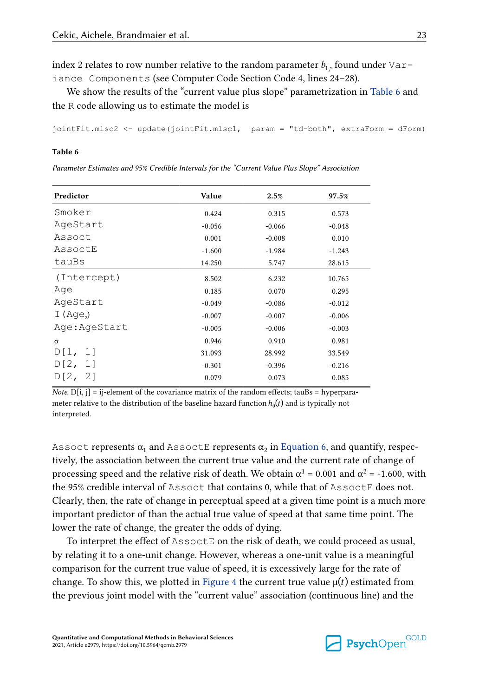index 2 relates to row number relative to the random parameter  $b_{1^p}$  found under <code>Var–</code> iance Components (see Computer Code Section Code 4, lines 24–28).

We show the results of the "current value plus slope" parametrization in Table 6 and the R code allowing us to estimate the model is

```
jointFit.mlsc2 <- update(jointFit.mlsc1, param = "td-both", extraForm = dForm)
```
#### **Table 6**

*Parameter Estimates and 95% Credible Intervals for the "Current Value Plus Slope" Association*

| Predictor    | Value    | 2.5%     | 97.5%    |
|--------------|----------|----------|----------|
| Smoker       | 0.424    | 0.315    | 0.573    |
| AqeStart     | $-0.056$ | $-0.066$ | $-0.048$ |
| Assoct       | 0.001    | $-0.008$ | 0.010    |
| AssoctE      | $-1.600$ | $-1.984$ | $-1.243$ |
| tauBs        | 14.250   | 5.747    | 28.615   |
| (Intercept)  | 8.502    | 6.232    | 10.765   |
| Age          | 0.185    | 0.070    | 0.295    |
| AgeStart     | $-0.049$ | $-0.086$ | $-0.012$ |
| I $(Aqe2)$   | $-0.007$ | $-0.007$ | $-0.006$ |
| Age:AgeStart | $-0.005$ | $-0.006$ | $-0.003$ |
| σ            | 0.946    | 0.910    | 0.981    |
| D[1,<br>11   | 31.093   | 28.992   | 33.549   |
| D[2,<br>11   | $-0.301$ | $-0.396$ | $-0.216$ |
| D[2, 2]      | 0.079    | 0.073    | 0.085    |

*Note.*  $D[i, j] = ij$ -element of the covariance matrix of the random effects; tauBs = hyperparameter relative to the distribution of the baseline hazard function  $h_0(t)$  and is typically not interpreted.

<code>Assoct</code> represents  $\alpha_1$  and <code>AssoctE</code> represents  $\alpha_2$  in [Equation 6,](#page-6-0) and quantify, respectively, the association between the current true value and the current rate of change of processing speed and the relative risk of death. We obtain  $\alpha^1$  = 0.001 and  $\alpha^2$  = -1.600, with the 95% credible interval of Assoct that contains 0, while that of AssoctE does not. Clearly, then, the rate of change in perceptual speed at a given time point is a much more important predictor of than the actual true value of speed at that same time point. The lower the rate of change, the greater the odds of dying.

To interpret the effect of AssoctE on the risk of death, we could proceed as usual, by relating it to a one-unit change. However, whereas a one-unit value is a meaningful comparison for the current true value of speed, it is excessively large for the rate of change. To show this, we plotted in [Figure 4](#page-23-0) the current true value  $\mu(t)$  estimated from the previous joint model with the "current value" association (continuous line) and the

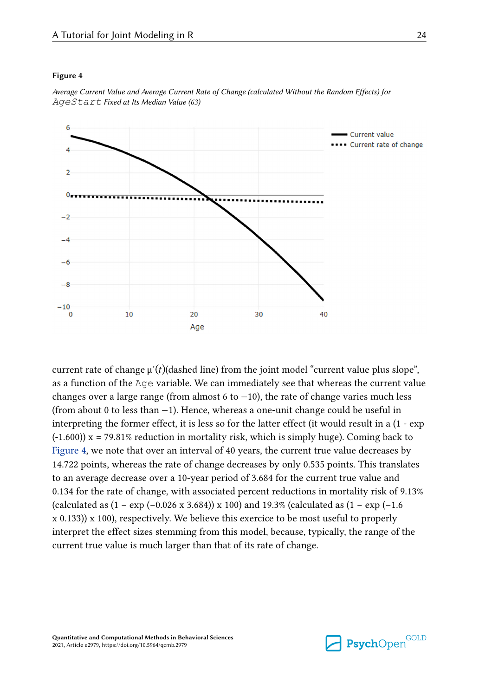#### <span id="page-23-0"></span>**Figure 4**



*Average Current Value and Average Current Rate of Change (calculated Without the Random Effects) for AgeStart Fixed at Its Median Value (63)*

current rate of change  $\mu'(t)$  (dashed line) from the joint model "current value plus slope", as a function of the Age variable. We can immediately see that whereas the current value changes over a large range (from almost 6 to  $-10$ ), the rate of change varies much less (from about 0 to less than −1). Hence, whereas a one-unit change could be useful in interpreting the former effect, it is less so for the latter effect (it would result in a (1 - exp  $(-1.600)$ ) x = 79.81% reduction in mortality risk, which is simply huge). Coming back to Figure 4, we note that over an interval of 40 years, the current true value decreases by 14.722 points, whereas the rate of change decreases by only 0.535 points. This translates to an average decrease over a 10-year period of 3.684 for the current true value and 0.134 for the rate of change, with associated percent reductions in mortality risk of 9.13% (calculated as  $(1 - \exp(-0.026 \times 3.684)) \times 100$ ) and 19.3% (calculated as  $(1 - \exp(-1.6$ ) x 0.133)) x 100), respectively. We believe this exercice to be most useful to properly interpret the effect sizes stemming from this model, because, typically, the range of the current true value is much larger than that of its rate of change.

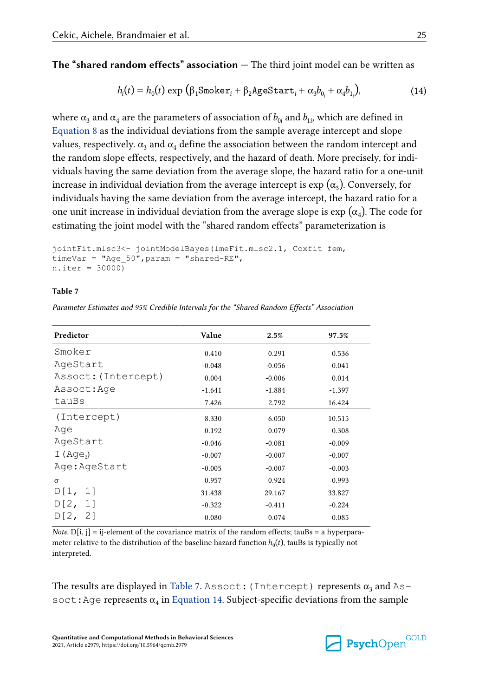**The "shared random effects" association —** The third joint model can be written as

$$
h_i(t) = h_0(t) \exp \left( \beta_1 \text{Smoker}_i + \beta_2 \text{AgeStart}_i + \alpha_3 b_{0_i} + \alpha_4 b_{1_i} \right),\tag{14}
$$

where  $\alpha_3$  and  $\alpha_4$  are the parameters of association of  $b_{0i}$  and  $b_{1i}$ , which are defined in [Equation 8](#page-11-0) as the individual deviations from the sample average intercept and slope values, respectively.  $\alpha_3$  and  $\alpha_4$  define the association between the random intercept and the random slope effects, respectively, and the hazard of death. More precisely, for individuals having the same deviation from the average slope, the hazard ratio for a one-unit increase in individual deviation from the average intercept is  $\exp{(\alpha_3)}$ . Conversely, for individuals having the same deviation from the average intercept, the hazard ratio for a one unit increase in individual deviation from the average slope is  $\exp{(\alpha_4)}$ . The code for estimating the joint model with the "shared random effects" parameterization is

```
jointFit.mlsc3<- jointModelBayes(lmeFit.mlsc2.1, Coxfit_fem,
timeVar = "Age_50",param = "shared-RE",
n.iter = 30000
```
#### **Table 7**

*Parameter Estimates and 95% Credible Intervals for the "Shared Random Effects" Association*

| Predictor           | Value    | 2.5%     | 97.5%    |
|---------------------|----------|----------|----------|
| Smoker              | 0.410    | 0.291    | 0.536    |
| AgeStart            | $-0.048$ | $-0.056$ | $-0.041$ |
| Assoct: (Intercept) | 0.004    | $-0.006$ | 0.014    |
| Assoct:Age          | $-1.641$ | $-1.884$ | $-1.397$ |
| tauBs               | 7.426    | 2.792    | 16.424   |
| (Intercept)         | 8.330    | 6.050    | 10.515   |
| Age                 | 0.192    | 0.079    | 0.308    |
| AgeStart            | $-0.046$ | $-0.081$ | $-0.009$ |
| I $(Aqe2)$          | $-0.007$ | $-0.007$ | $-0.007$ |
| Age:AgeStart        | $-0.005$ | $-0.007$ | $-0.003$ |
| $\sigma$            | 0.957    | 0.924    | 0.993    |
| D[1, 1]             | 31.438   | 29.167   | 33.827   |
| D[2, 1]             | $-0.322$ | $-0.411$ | $-0.224$ |
| D[2, 2]             | 0.080    | 0.074    | 0.085    |
|                     |          |          |          |

*Note.*  $D[i, j] = i$ -element of the covariance matrix of the random effects; tauBs = a hyperparameter relative to the distribution of the baseline hazard function  $h_0(t)$ , tauBs is typically not interpreted.

The results are displayed in Table 7. Assoct : (Intercept) represents  $\alpha_3$  and Assoct: Age represents  $\alpha_4$  in Equation 14. Subject-specific deviations from the sample

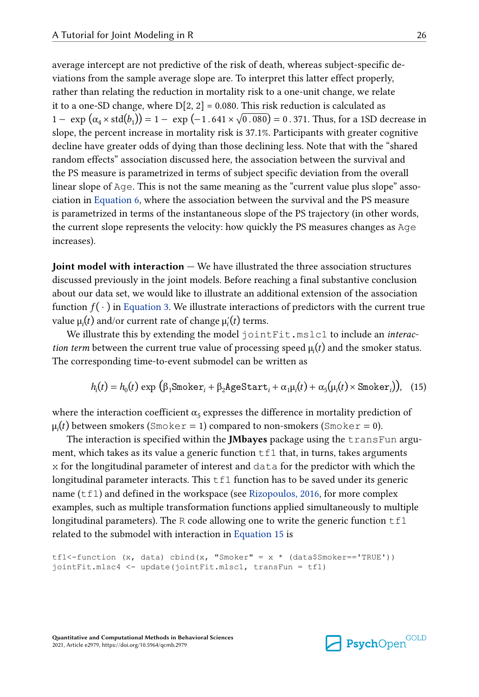<span id="page-25-0"></span>average intercept are not predictive of the risk of death, whereas subject-specific deviations from the sample average slope are. To interpret this latter effect properly, rather than relating the reduction in mortality risk to a one-unit change, we relate it to a one-SD change, where  $D[2, 2] = 0.080$ . This risk reduction is calculated as  $1 - \exp(\alpha_4 \times \text{std}(b_1)) = 1 - \exp(-1.641 \times \sqrt{0.080}) = 0.371$ . Thus, for a 1SD decrease in slope, the percent increase in mortality risk is 37.1%. Participants with greater cognitive decline have greater odds of dying than those declining less. Note that with the "shared random effects" association discussed here, the association between the survival and the PS measure is parametrized in terms of subject specific deviation from the overall linear slope of Age. This is not the same meaning as the "current value plus slope" association in [Equation 6](#page-6-0), where the association between the survival and the PS measure is parametrized in terms of the instantaneous slope of the PS trajectory (in other words, the current slope represents the velocity: how quickly the PS measures changes as Age increases).

**Joint model with interaction —** We have illustrated the three association structures discussed previously in the joint models. Before reaching a final substantive conclusion about our data set, we would like to illustrate an additional extension of the association function  $f(\cdot)$  in [Equation 3.](#page-5-0) We illustrate interactions of predictors with the current true value  $\mu_i(t)$  and/or current rate of change  $\mu_i'(t)$  terms. **Bureador Consumer that the interaction of the smoker smoker and alternation** of the assessed previously in the joint models. Before reaching a final substantive colabor of a ass function  $f(\cdot)$  in Equation 3. We illustr

We illustrate this by extending the model jointFit.mslc1 to include an *interaction term* between the current true value of processing speed  $\mu_i(t)$  and the smoker status. The corresponding time-to-event submodel can be written as

$$
h_i(t) = h_0(t) \exp \left( \beta_1 \text{Smoker}_i + \beta_2 \text{AgeStart}_i + \alpha_1 \mu_i(t) + \alpha_5(\mu_i(t) \times \text{Smoker}_i) \right), \quad (15)
$$

where the interaction coefficient  $\alpha_5$  expresses the difference in mortality prediction of

The interaction is specified within the **JMbayes** package using the transFun argument, which takes as its value a generic function  $tf1$  that, in turns, takes arguments x for the longitudinal parameter of interest and data for the predictor with which the longitudinal parameter interacts. This  $\text{tf1}$  function has to be saved under its generic name  $(tf1)$  and defined in the workspace (see [Rizopoulos, 2016,](#page-33-0) for more complex examples, such as multiple transformation functions applied simultaneously to multiple longitudinal parameters). The R code allowing one to write the generic function  $tf1$ related to the submodel with interaction in Equation 15 is

```
tf1<-function (x, data) cbind(x, "Smoker" = x * (data$Smoker=='TRUE'))
jointFit.mlsc4 <- update(jointFit.mlsc1, transFun = tf1)
```
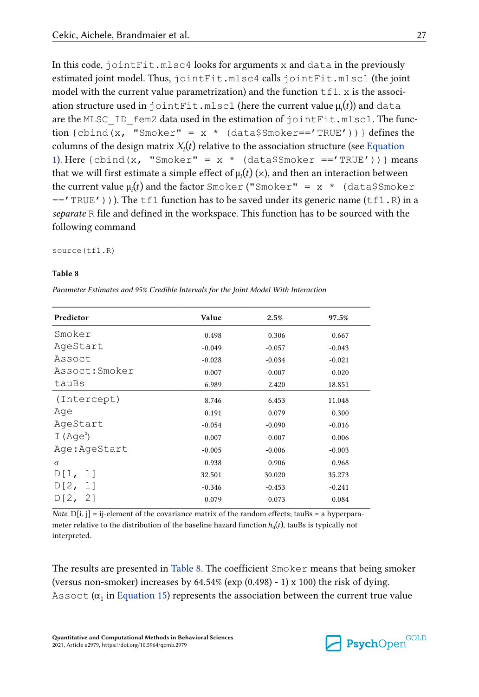In this code,  $\text{jointFit}$ ,  $\text{mlsc4}$  looks for arguments x and data in the previously estimated joint model. Thus, jointFit.mlsc4 calls jointFit.mlsc1 (the joint model with the current value parametrization) and the function  $\text{tf1}. x$  is the association structure used in jointFit.mlsc1 (here the current value  $\mu_i(t)$ ) and data are the MLSC ID fem2 data used in the estimation of jointFit.mlsc1. The function {cbind(x, "Smoker" =  $x *$  (data\$Smoker=='TRUE')) } defines the columns of the design matrix  $X_i(t)$  relative to the association structure (see [Equation](#page-4-0) [1\)](#page-4-0). Here  ${cbind(x, "Smoker" = x * (data$Smoker == 'TRUE')) } means$ that we will first estimate a simple effect of  $\mu_i(t)$  (x), and then an interaction between the current value  $\mu_i(t)$  and the factor Smoker ("Smoker" = x \* (data\$Smoker  $=$  TRUE'))). The tf1 function has to be saved under its generic name (tf1.R) in a *separate* R file and defined in the workspace. This function has to be sourced with the following command

source(tf1.R)

#### **Table 8**

*Parameter Estimates and 95% Credible Intervals for the Joint Model With Interaction*

| Predictor     | Value    | 2.5%     | 97.5%    |
|---------------|----------|----------|----------|
| Smoker        | 0.498    | 0.306    | 0.667    |
| AgeStart      | $-0.049$ | $-0.057$ | $-0.043$ |
| Assoct        | $-0.028$ | $-0.034$ | $-0.021$ |
| Assoct:Smoker | 0.007    | $-0.007$ | 0.020    |
| tauBs         | 6.989    | 2.420    | 18.851   |
| (Intercept)   | 8.746    | 6.453    | 11.048   |
| Age           | 0.191    | 0.079    | 0.300    |
| AgeStart      | $-0.054$ | $-0.090$ | $-0.016$ |
| I $(Aqe^2)$   | $-0.007$ | $-0.007$ | $-0.006$ |
| Age:AgeStart  | $-0.005$ | $-0.006$ | $-0.003$ |
| $\sigma$      | 0.938    | 0.906    | 0.968    |
| D[1, 1]       | 32.501   | 30.020   | 35.273   |
| D[2, 1]       | $-0.346$ | $-0.453$ | $-0.241$ |
| D[2, 2]       | 0.079    | 0.073    | 0.084    |

*Note.*  $D[i, j] = ij$ -element of the covariance matrix of the random effects; tauBs = a hyperparameter relative to the distribution of the baseline hazard function  $h_0(t)$ , tauBs is typically not interpreted.

The results are presented in Table 8. The coefficient Smoker means that being smoker (versus non-smoker) increases by  $64.54\%$  (exp  $(0.498)$  - 1) x 100) the risk of dying. Assoct ( $\alpha_1$  in [Equation 15](#page-25-0)) represents the association between the current true value

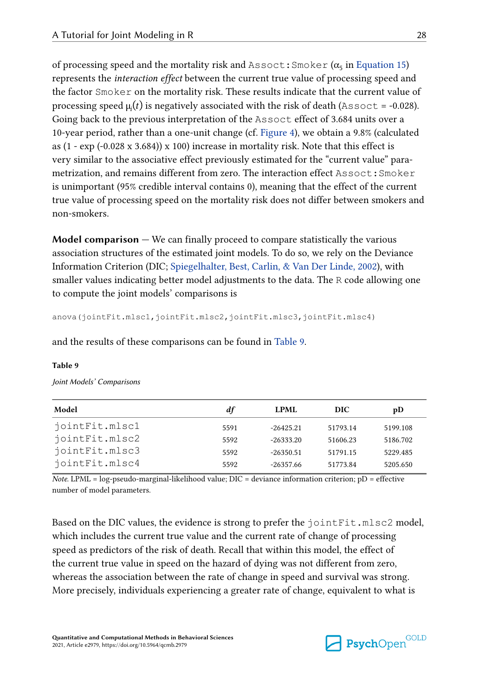of processing speed and the mortality risk and <code>Assoct:Smoker</code> ( $\alpha_5$  in [Equation 15\)](#page-25-0) represents the *interaction effect* between the current true value of processing speed and the factor Smoker on the mortality risk. These results indicate that the current value of processing speed  $\mu(t)$  is negatively associated with the risk of death (Assoct = -0.028). Going back to the previous interpretation of the Assoct effect of 3.684 units over a 10-year period, rather than a one-unit change (cf. [Figure 4\)](#page-23-0), we obtain a 9.8% (calculated as  $(1 - \exp(-0.028 \times 3.684)) \times 100$  increase in mortality risk. Note that this effect is very similar to the associative effect previously estimated for the "current value" parametrization, and remains different from zero. The interaction effect Assoct:Smoker is unimportant (95% credible interval contains 0), meaning that the effect of the current true value of processing speed on the mortality risk does not differ between smokers and non-smokers.

**Model comparison —** We can finally proceed to compare statistically the various association structures of the estimated joint models. To do so, we rely on the Deviance Information Criterion (DIC; [Spiegelhalter, Best, Carlin, & Van Der Linde, 2002](#page-34-0)), with smaller values indicating better model adjustments to the data. The R code allowing one to compute the joint models' comparisons is

anova(jointFit.mlsc1,jointFit.mlsc2,jointFit.mlsc3,jointFit.mlsc4)

and the results of these comparisons can be found in Table 9.

#### **Table 9**

| Model          | df   | LPML        | DIC      | pD       |  |
|----------------|------|-------------|----------|----------|--|
| jointFit.mlsc1 | 5591 | $-26425.21$ | 51793.14 | 5199.108 |  |
| iointFit.mlsc2 | 5592 | $-26333.20$ | 51606.23 | 5186.702 |  |
| iointFit.mlsc3 | 5592 | $-26350.51$ | 51791.15 | 5229.485 |  |
| iointFit.mlsc4 | 5592 | $-26357.66$ | 51773.84 | 5205.650 |  |
|                |      |             |          |          |  |

*Note.* LPML = log-pseudo-marginal-likelihood value; DIC = deviance information criterion; pD = effective number of model parameters.

Based on the DIC values, the evidence is strong to prefer the jointFit.mlsc2 model, which includes the current true value and the current rate of change of processing speed as predictors of the risk of death. Recall that within this model, the effect of the current true value in speed on the hazard of dying was not different from zero, whereas the association between the rate of change in speed and survival was strong. More precisely, individuals experiencing a greater rate of change, equivalent to what is

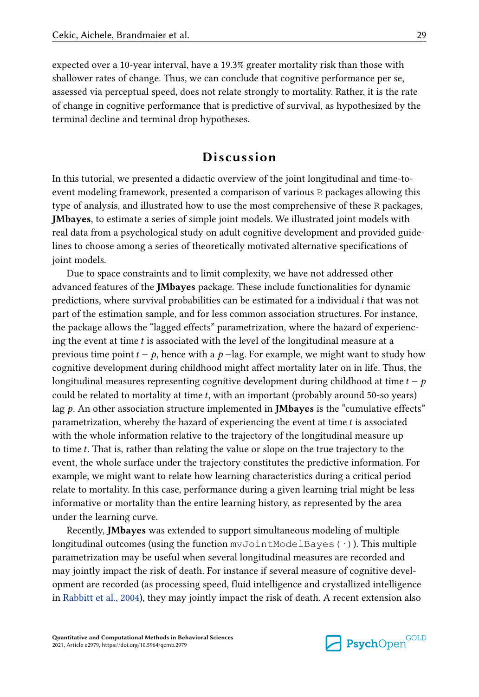expected over a 10-year interval, have a 19.3% greater mortality risk than those with shallower rates of change. Thus, we can conclude that cognitive performance per se, assessed via perceptual speed, does not relate strongly to mortality. Rather, it is the rate of change in cognitive performance that is predictive of survival, as hypothesized by the terminal decline and terminal drop hypotheses.

# **Discussion**

In this tutorial, we presented a didactic overview of the joint longitudinal and time-toevent modeling framework, presented a comparison of various R packages allowing this type of analysis, and illustrated how to use the most comprehensive of these R packages, **JMbayes**, to estimate a series of simple joint models. We illustrated joint models with real data from a psychological study on adult cognitive development and provided guidelines to choose among a series of theoretically motivated alternative specifications of joint models.

Due to space constraints and to limit complexity, we have not addressed other advanced features of the **JMbayes** package. These include functionalities for dynamic predictions, where survival probabilities can be estimated for a individual i that was not part of the estimation sample, and for less common association structures. For instance, the package allows the "lagged effects" parametrization, where the hazard of experiencing the event at time  $t$  is associated with the level of the longitudinal measure at a previous time point  $t - p$ , hence with a  $p - \text{lag}$ . For example, we might want to study how cognitive development during childhood might affect mortality later on in life. Thus, the longitudinal measures representing cognitive development during childhood at time  $t - p$ could be related to mortality at time  $t$ , with an important (probably around 50-so years) lag p. An other association structure implemented in **JMbayes** is the "cumulative effects" parametrization, whereby the hazard of experiencing the event at time  $t$  is associated with the whole information relative to the trajectory of the longitudinal measure up to time t. That is, rather than relating the value or slope on the true trajectory to the event, the whole surface under the trajectory constitutes the predictive information. For example, we might want to relate how learning characteristics during a critical period relate to mortality. In this case, performance during a given learning trial might be less informative or mortality than the entire learning history, as represented by the area under the learning curve.

Recently, **JMbayes** was extended to support simultaneous modeling of multiple longitudinal outcomes (using the function  $mvJointModelBayes(·)$ ). This multiple parametrization may be useful when several longitudinal measures are recorded and may jointly impact the risk of death. For instance if several measure of cognitive development are recorded (as processing speed, fluid intelligence and crystallized intelligence in [Rabbitt et al., 2004](#page-33-0)), they may jointly impact the risk of death. A recent extension also

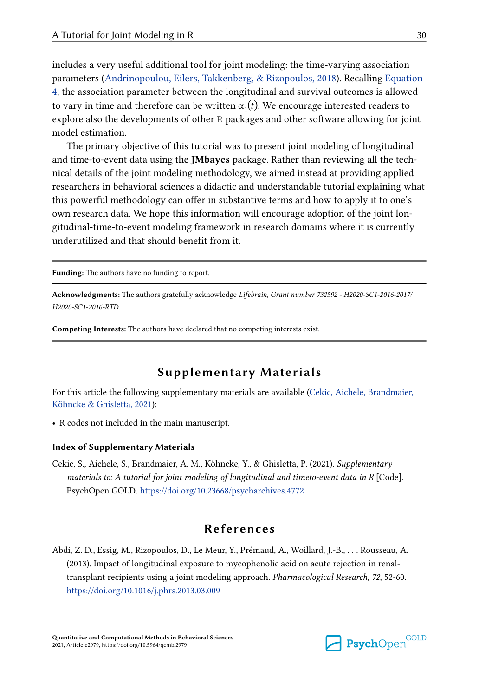<span id="page-29-0"></span>includes a very useful additional tool for joint modeling: the time-varying association parameters [\(Andrinopoulou, Eilers, Takkenberg, & Rizopoulos, 2018\)](#page-30-0). Recalling [Equation](#page-6-0) [4,](#page-6-0) the association parameter between the longitudinal and survival outcomes is allowed to vary in time and therefore can be written  $\alpha_1(t)$ . We encourage interested readers to explore also the developments of other R packages and other software allowing for joint model estimation.

The primary objective of this tutorial was to present joint modeling of longitudinal and time-to-event data using the **JMbayes** package. Rather than reviewing all the technical details of the joint modeling methodology, we aimed instead at providing applied researchers in behavioral sciences a didactic and understandable tutorial explaining what this powerful methodology can offer in substantive terms and how to apply it to one's own research data. We hope this information will encourage adoption of the joint longitudinal-time-to-event modeling framework in research domains where it is currently underutilized and that should benefit from it.

**Funding:** The authors have no funding to report.

**Acknowledgments:** The authors gratefully acknowledge *Lifebrain, Grant number 732592 - H2020-SC1-2016-2017/ H2020-SC1-2016-RTD*.

**Competing Interests:** The authors have declared that no competing interests exist.

# **Supplementary Materials**

For this article the following supplementary materials are available (Cekic, Aichele, Brandmaier, Köhncke & Ghisletta, 2021):

**•** R codes not included in the main manuscript.

#### **Index of Supplementary Materials**

Cekic, S., Aichele, S., Brandmaier, A. M., Köhncke, Y., & Ghisletta, P. (2021). *Supplementary materials to: A tutorial for joint modeling of longitudinal and timeto-event data in R* [Code]. PsychOpen GOLD. <https://doi.org/10.23668/psycharchives.4772>

# **References**

Abdi, Z. D., Essig, M., Rizopoulos, D., Le Meur, Y., Prémaud, A., Woillard, J.-B., . . . Rousseau, A. (2013). Impact of longitudinal exposure to mycophenolic acid on acute rejection in renaltransplant recipients using a joint modeling approach. *Pharmacological Research, 72*, 52-60. <https://doi.org/10.1016/j.phrs.2013.03.009>

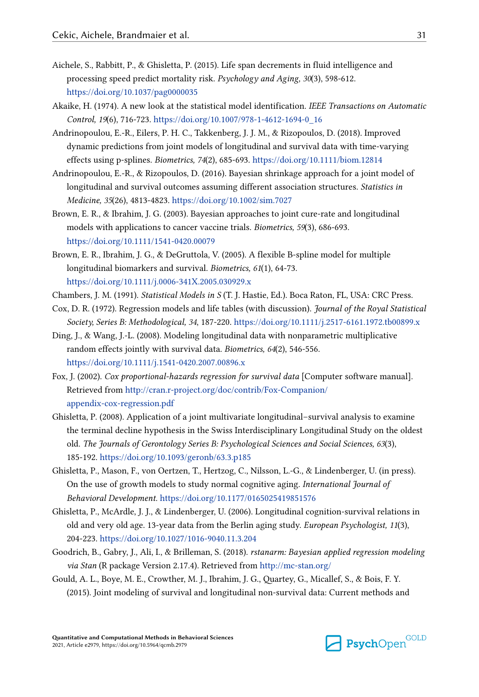- <span id="page-30-0"></span>Aichele, S., Rabbitt, P., & Ghisletta, P. (2015). Life span decrements in fluid intelligence and processing speed predict mortality risk. *Psychology and Aging, 30*(3), 598-612. <https://doi.org/10.1037/pag0000035>
- Akaike, H. (1974). A new look at the statistical model identification. *IEEE Transactions on Automatic Control, 19*(6), 716-723. [https://doi.org/10.1007/978-1-4612-1694-0\\_16](https://doi.org/10.1007/978-1-4612-1694-0_16)
- Andrinopoulou, E.-R., Eilers, P. H. C., Takkenberg, J. J. M., & Rizopoulos, D. (2018). Improved dynamic predictions from joint models of longitudinal and survival data with time-varying effects using p-splines. *Biometrics, 74*(2), 685-693. <https://doi.org/10.1111/biom.12814>
- Andrinopoulou, E.-R., & Rizopoulos, D. (2016). Bayesian shrinkage approach for a joint model of longitudinal and survival outcomes assuming different association structures. *Statistics in Medicine, 35*(26), 4813-4823.<https://doi.org/10.1002/sim.7027>
- Brown, E. R., & Ibrahim, J. G. (2003). Bayesian approaches to joint cure-rate and longitudinal models with applications to cancer vaccine trials. *Biometrics, 59*(3), 686-693. <https://doi.org/10.1111/1541-0420.00079>
- Brown, E. R., Ibrahim, J. G., & DeGruttola, V. (2005). A flexible B-spline model for multiple longitudinal biomarkers and survival. *Biometrics, 61*(1), 64-73. <https://doi.org/10.1111/j.0006-341X.2005.030929.x>
- Chambers, J. M. (1991). *Statistical Models in S* (T. J. Hastie, Ed.). Boca Raton, FL, USA: CRC Press.
- Cox, D. R. (1972). Regression models and life tables (with discussion). *Journal of the Royal Statistical Society, Series B: Methodological, 34*, 187-220. <https://doi.org/10.1111/j.2517-6161.1972.tb00899.x>
- Ding, J., & Wang, J.-L. (2008). Modeling longitudinal data with nonparametric multiplicative random effects jointly with survival data. *Biometrics, 64*(2), 546-556. <https://doi.org/10.1111/j.1541-0420.2007.00896.x>
- Fox, J. (2002). *Cox proportional-hazards regression for survival data* [Computer software manual]. Retrieved from [http://cran.r-project.org/doc/contrib/Fox-Companion/](http://cran.r-project.org/doc/contrib/Fox-Companion/appendix-cox-regression.pdf) [appendix-cox-regression.pdf](http://cran.r-project.org/doc/contrib/Fox-Companion/appendix-cox-regression.pdf)
- Ghisletta, P. (2008). Application of a joint multivariate longitudinal–survival analysis to examine the terminal decline hypothesis in the Swiss Interdisciplinary Longitudinal Study on the oldest old. *The Journals of Gerontology Series B: Psychological Sciences and Social Sciences, 63*(3), 185-192. <https://doi.org/10.1093/geronb/63.3.p185>
- Ghisletta, P., Mason, F., von Oertzen, T., Hertzog, C., Nilsson, L.-G., & Lindenberger, U. (in press). On the use of growth models to study normal cognitive aging. *International Journal of Behavioral Development*.<https://doi.org/10.1177/0165025419851576>
- Ghisletta, P., McArdle, J. J., & Lindenberger, U. (2006). Longitudinal cognition-survival relations in old and very old age. 13-year data from the Berlin aging study. *European Psychologist, 11*(3), 204-223. <https://doi.org/10.1027/1016-9040.11.3.204>
- Goodrich, B., Gabry, J., Ali, I., & Brilleman, S. (2018). *rstanarm: Bayesian applied regression modeling via Stan* (R package Version 2.17.4). Retrieved from <http://mc-stan.org/>
- Gould, A. L., Boye, M. E., Crowther, M. J., Ibrahim, J. G., Quartey, G., Micallef, S., & Bois, F. Y. (2015). Joint modeling of survival and longitudinal non-survival data: Current methods and

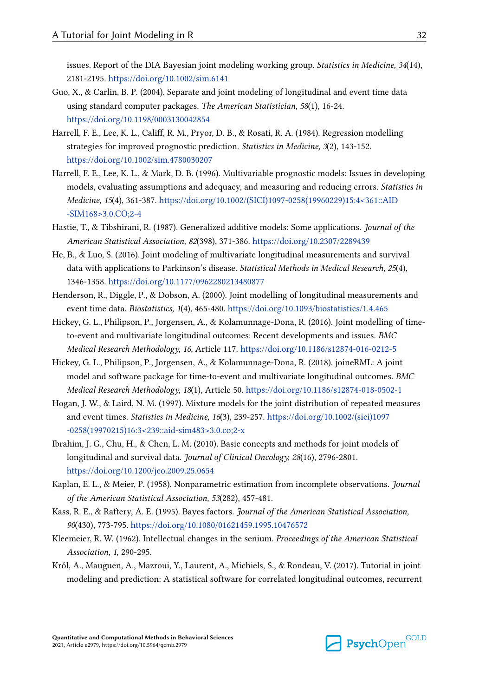<span id="page-31-0"></span>issues. Report of the DIA Bayesian joint modeling working group. *Statistics in Medicine, 34*(14), 2181-2195. <https://doi.org/10.1002/sim.6141>

- Guo, X., & Carlin, B. P. (2004). Separate and joint modeling of longitudinal and event time data using standard computer packages. *The American Statistician, 58*(1), 16-24. <https://doi.org/10.1198/0003130042854>
- Harrell, F. E., Lee, K. L., Califf, R. M., Pryor, D. B., & Rosati, R. A. (1984). Regression modelling strategies for improved prognostic prediction. *Statistics in Medicine, 3*(2), 143-152. <https://doi.org/10.1002/sim.4780030207>
- Harrell, F. E., Lee, K. L., & Mark, D. B. (1996). Multivariable prognostic models: Issues in developing models, evaluating assumptions and adequacy, and measuring and reducing errors. *Statistics in Medicine, 15*(4), 361-387. [https://doi.org/10.1002/\(SICI\)1097-0258\(19960229\)15:4<361::AID](https://doi.org/10.1002/(SICI)1097-0258(19960229)15:4<361::AID-SIM168=3.0.CO;2-4) [-SIM168>3.0.CO;2-4](https://doi.org/10.1002/(SICI)1097-0258(19960229)15:4<361::AID-SIM168=3.0.CO;2-4)
- Hastie, T., & Tibshirani, R. (1987). Generalized additive models: Some applications. *Journal of the American Statistical Association, 82*(398), 371-386. <https://doi.org/10.2307/2289439>
- He, B., & Luo, S. (2016). Joint modeling of multivariate longitudinal measurements and survival data with applications to Parkinson's disease. *Statistical Methods in Medical Research, 25*(4), 1346-1358. <https://doi.org/10.1177/0962280213480877>
- Henderson, R., Diggle, P., & Dobson, A. (2000). Joint modelling of longitudinal measurements and event time data. *Biostatistics, 1*(4), 465-480. <https://doi.org/10.1093/biostatistics/1.4.465>
- Hickey, G. L., Philipson, P., Jorgensen, A., & Kolamunnage-Dona, R. (2016). Joint modelling of timeto-event and multivariate longitudinal outcomes: Recent developments and issues. *BMC Medical Research Methodology, 16*, Article 117. <https://doi.org/10.1186/s12874-016-0212-5>
- Hickey, G. L., Philipson, P., Jorgensen, A., & Kolamunnage-Dona, R. (2018). joineRML: A joint model and software package for time-to-event and multivariate longitudinal outcomes. *BMC Medical Research Methodology, 18*(1), Article 50.<https://doi.org/10.1186/s12874-018-0502-1>
- Hogan, J. W., & Laird, N. M. (1997). Mixture models for the joint distribution of repeated measures and event times. *Statistics in Medicine, 16*(3), 239-257. [https://doi.org/10.1002/\(sici\)1097](https://doi.org/10.1002/(sici)1097-0258(19970215)16:3<239::aid-sim483>3.0.co;2-x) [-0258\(19970215\)16:3<239::aid-sim483>3.0.co;2-x](https://doi.org/10.1002/(sici)1097-0258(19970215)16:3<239::aid-sim483>3.0.co;2-x)
- Ibrahim, J. G., Chu, H., & Chen, L. M. (2010). Basic concepts and methods for joint models of longitudinal and survival data. *Journal of Clinical Oncology, 28*(16), 2796-2801. <https://doi.org/10.1200/jco.2009.25.0654>
- Kaplan, E. L., & Meier, P. (1958). Nonparametric estimation from incomplete observations. *Journal of the American Statistical Association, 53*(282), 457-481.
- Kass, R. E., & Raftery, A. E. (1995). Bayes factors. *Journal of the American Statistical Association, 90*(430), 773-795. <https://doi.org/10.1080/01621459.1995.10476572>
- Kleemeier, R. W. (1962). Intellectual changes in the senium. *Proceedings of the American Statistical Association, 1*, 290-295.
- Król, A., Mauguen, A., Mazroui, Y., Laurent, A., Michiels, S., & Rondeau, V. (2017). Tutorial in joint modeling and prediction: A statistical software for correlated longitudinal outcomes, recurrent

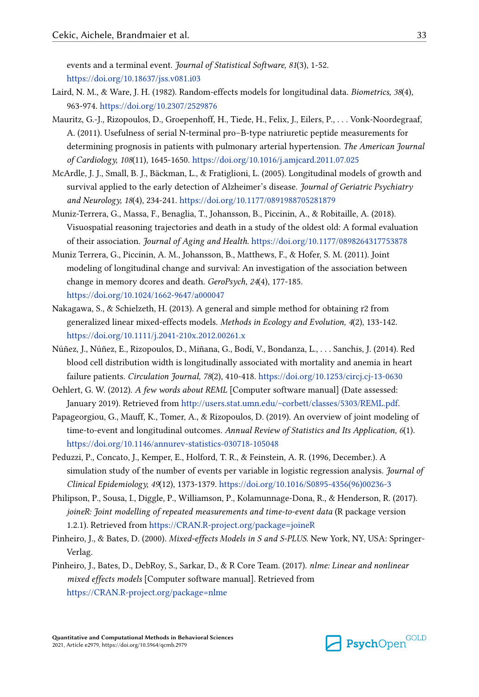<span id="page-32-0"></span>events and a terminal event. *Journal of Statistical Software, 81*(3), 1-52. <https://doi.org/10.18637/jss.v081.i03>

- Laird, N. M., & Ware, J. H. (1982). Random-effects models for longitudinal data. *Biometrics, 38*(4), 963-974. <https://doi.org/10.2307/2529876>
- Mauritz, G.-J., Rizopoulos, D., Groepenhoff, H., Tiede, H., Felix, J., Eilers, P., . . . Vonk-Noordegraaf, A. (2011). Usefulness of serial N-terminal pro–B-type natriuretic peptide measurements for determining prognosis in patients with pulmonary arterial hypertension. *The American Journal of Cardiology, 108*(11), 1645-1650. <https://doi.org/10.1016/j.amjcard.2011.07.025>
- McArdle, J. J., Small, B. J., Bäckman, L., & Fratiglioni, L. (2005). Longitudinal models of growth and survival applied to the early detection of Alzheimer's disease. *Journal of Geriatric Psychiatry and Neurology, 18*(4), 234-241.<https://doi.org/10.1177/0891988705281879>
- Muniz-Terrera, G., Massa, F., Benaglia, T., Johansson, B., Piccinin, A., & Robitaille, A. (2018). Visuospatial reasoning trajectories and death in a study of the oldest old: A formal evaluation of their association. *Journal of Aging and Health*. <https://doi.org/10.1177/0898264317753878>
- Muniz Terrera, G., Piccinin, A. M., Johansson, B., Matthews, F., & Hofer, S. M. (2011). Joint modeling of longitudinal change and survival: An investigation of the association between change in memory dcores and death. *GeroPsych, 24*(4), 177-185. <https://doi.org/10.1024/1662-9647/a000047>
- Nakagawa, S., & Schielzeth, H. (2013). A general and simple method for obtaining r2 from generalized linear mixed-effects models. *Methods in Ecology and Evolution, 4*(2), 133-142. <https://doi.org/10.1111/j.2041-210x.2012.00261.x>
- Núñez, J., Núñez, E., Rizopoulos, D., Miñana, G., Bodí, V., Bondanza, L., . . . Sanchis, J. (2014). Red blood cell distribution width is longitudinally associated with mortality and anemia in heart failure patients. *Circulation Journal, 78*(2), 410-418. <https://doi.org/10.1253/circj.cj-13-0630>
- Oehlert, G. W. (2012). *A few words about REML* [Computer software manual] (Date assessed: January 2019). Retrieved from [http://users.stat.umn.edu/~corbett/classes/5303/REML.pdf.](http://users.stat.umn.edu/~corbett/classes/5303/REML.pdf)
- Papageorgiou, G., Mauff, K., Tomer, A., & Rizopoulos, D. (2019). An overview of joint modeling of time-to-event and longitudinal outcomes. *Annual Review of Statistics and Its Application, 6*(1). <https://doi.org/10.1146/annurev-statistics-030718-105048>
- Peduzzi, P., Concato, J., Kemper, E., Holford, T. R., & Feinstein, A. R. (1996, December.). A simulation study of the number of events per variable in logistic regression analysis. *Journal of Clinical Epidemiology, 49*(12), 1373-1379. [https://doi.org/10.1016/S0895-4356\(96\)00236-3](https://doi.org/10.1016/S0895-4356(96)00236-3)
- Philipson, P., Sousa, I., Diggle, P., Williamson, P., Kolamunnage-Dona, R., & Henderson, R. (2017). *joineR: Joint modelling of repeated measurements and time-to-event data* (R package version 1.2.1). Retrieved from <https://CRAN.R-project.org/package=joineR>
- Pinheiro, J., & Bates, D. (2000). *Mixed-effects Models in S and S-PLUS*. New York, NY, USA: Springer-Verlag.
- Pinheiro, J., Bates, D., DebRoy, S., Sarkar, D., & R Core Team. (2017). *nlme: Linear and nonlinear mixed effects models* [Computer software manual]. Retrieved from https://CRAN.R-project.org/package=nlme

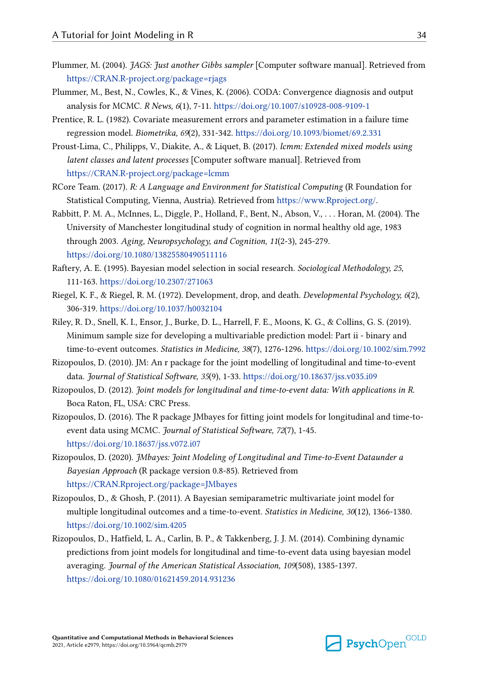- <span id="page-33-0"></span>Plummer, M. (2004). *JAGS: Just another Gibbs sampler* [Computer software manual]. Retrieved from https://CRAN.R-project.org/package=rjags
- Plummer, M., Best, N., Cowles, K., & Vines, K. (2006). CODA: Convergence diagnosis and output analysis for MCMC. *R News, 6*(1), 7-11. <https://doi.org/10.1007/s10928-008-9109-1>
- Prentice, R. L. (1982). Covariate measurement errors and parameter estimation in a failure time regression model. *Biometrika, 69*(2), 331-342.<https://doi.org/10.1093/biomet/69.2.331>
- Proust-Lima, C., Philipps, V., Diakite, A., & Liquet, B. (2017). *lcmm: Extended mixed models using latent classes and latent processes* [Computer software manual]. Retrieved from https://CRAN.R-project.org/package=lcmm
- RCore Team. (2017). *R: A Language and Environment for Statistical Computing* (R Foundation for Statistical Computing, Vienna, Austria). Retrieved from<https://www.Rproject.org/>.
- Rabbitt, P. M. A., McInnes, L., Diggle, P., Holland, F., Bent, N., Abson, V., . . . Horan, M. (2004). The University of Manchester longitudinal study of cognition in normal healthy old age, 1983 through 2003. *Aging, Neuropsychology, and Cognition, 11*(2-3), 245-279. <https://doi.org/10.1080/13825580490511116>
- Raftery, A. E. (1995). Bayesian model selection in social research. *Sociological Methodology, 25*, 111-163. <https://doi.org/10.2307/271063>
- Riegel, K. F., & Riegel, R. M. (1972). Development, drop, and death. *Developmental Psychology, 6*(2), 306-319. <https://doi.org/10.1037/h0032104>
- Riley, R. D., Snell, K. I., Ensor, J., Burke, D. L., Harrell, F. E., Moons, K. G., & Collins, G. S. (2019). Minimum sample size for developing a multivariable prediction model: Part ii - binary and time-to-event outcomes. *Statistics in Medicine, 38*(7), 1276-1296. <https://doi.org/10.1002/sim.7992>
- Rizopoulos, D. (2010). JM: An r package for the joint modelling of longitudinal and time-to-event data. *Journal of Statistical Software, 35*(9), 1-33. <https://doi.org/10.18637/jss.v035.i09>
- Rizopoulos, D. (2012). *Joint models for longitudinal and time-to-event data: With applications in R*. Boca Raton, FL, USA: CRC Press.
- Rizopoulos, D. (2016). The R package JMbayes for fitting joint models for longitudinal and time-toevent data using MCMC. *Journal of Statistical Software, 72*(7), 1-45. <https://doi.org/10.18637/jss.v072.i07>
- Rizopoulos, D. (2020). *JMbayes: Joint Modeling of Longitudinal and Time-to-Event Dataunder a Bayesian Approach* (R package version 0.8-85). Retrieved from <https://CRAN.Rproject.org/package=JMbayes>
- Rizopoulos, D., & Ghosh, P. (2011). A Bayesian semiparametric multivariate joint model for multiple longitudinal outcomes and a time-to-event. *Statistics in Medicine, 30*(12), 1366-1380. <https://doi.org/10.1002/sim.4205>
- Rizopoulos, D., Hatfield, L. A., Carlin, B. P., & Takkenberg, J. J. M. (2014). Combining dynamic predictions from joint models for longitudinal and time-to-event data using bayesian model averaging. *Journal of the American Statistical Association, 109*(508), 1385-1397. <https://doi.org/10.1080/01621459.2014.931236>

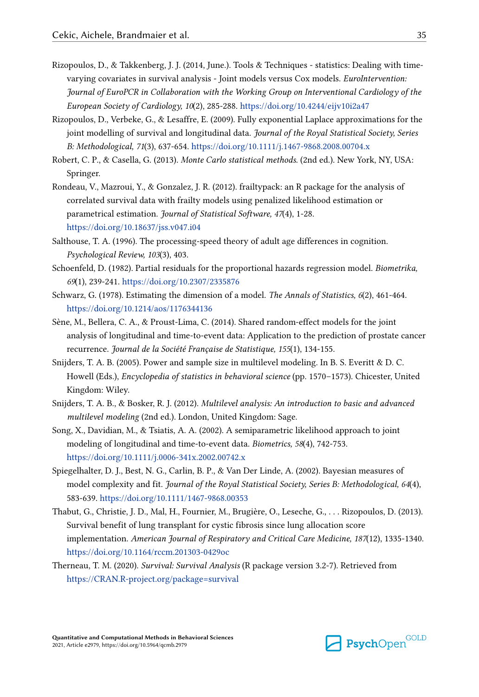- <span id="page-34-0"></span>Rizopoulos, D., & Takkenberg, J. J. (2014, June.). Tools & Techniques - statistics: Dealing with timevarying covariates in survival analysis - Joint models versus Cox models. *EuroIntervention: Journal of EuroPCR in Collaboration with the Working Group on Interventional Cardiology of the European Society of Cardiology, 10*(2), 285-288. <https://doi.org/10.4244/eijv10i2a47>
- Rizopoulos, D., Verbeke, G., & Lesaffre, E. (2009). Fully exponential Laplace approximations for the joint modelling of survival and longitudinal data. *Journal of the Royal Statistical Society, Series B: Methodological, 71*(3), 637-654.<https://doi.org/10.1111/j.1467-9868.2008.00704.x>
- Robert, C. P., & Casella, G. (2013). *Monte Carlo statistical methods*. (2nd ed.). New York, NY, USA: Springer.
- Rondeau, V., Mazroui, Y., & Gonzalez, J. R. (2012). frailtypack: an R package for the analysis of correlated survival data with frailty models using penalized likelihood estimation or parametrical estimation. *Journal of Statistical Software, 47*(4), 1-28. <https://doi.org/10.18637/jss.v047.i04>
- Salthouse, T. A. (1996). The processing-speed theory of adult age differences in cognition. *Psychological Review, 103*(3), 403.
- Schoenfeld, D. (1982). Partial residuals for the proportional hazards regression model. *Biometrika, 69*(1), 239-241.<https://doi.org/10.2307/2335876>
- Schwarz, G. (1978). Estimating the dimension of a model. *The Annals of Statistics, 6*(2), 461-464. <https://doi.org/10.1214/aos/1176344136>
- Sène, M., Bellera, C. A., & Proust-Lima, C. (2014). Shared random-effect models for the joint analysis of longitudinal and time-to-event data: Application to the prediction of prostate cancer recurrence. *Journal de la Société Française de Statistique, 155*(1), 134-155.
- Snijders, T. A. B. (2005). Power and sample size in multilevel modeling. In B. S. Everitt & D. C. Howell (Eds.), *Encyclopedia of statistics in behavioral science* (pp. 1570–1573). Chicester, United Kingdom: Wiley.
- Snijders, T. A. B., & Bosker, R. J. (2012). *Multilevel analysis: An introduction to basic and advanced multilevel modeling* (2nd ed.). London, United Kingdom: Sage.
- Song, X., Davidian, M., & Tsiatis, A. A. (2002). A semiparametric likelihood approach to joint modeling of longitudinal and time-to-event data. *Biometrics, 58*(4), 742-753. <https://doi.org/10.1111/j.0006-341x.2002.00742.x>
- Spiegelhalter, D. J., Best, N. G., Carlin, B. P., & Van Der Linde, A. (2002). Bayesian measures of model complexity and fit. *Journal of the Royal Statistical Society, Series B: Methodological, 64*(4), 583-639. <https://doi.org/10.1111/1467-9868.00353>
- Thabut, G., Christie, J. D., Mal, H., Fournier, M., Brugière, O., Leseche, G., . . . Rizopoulos, D. (2013). Survival benefit of lung transplant for cystic fibrosis since lung allocation score implementation. *American Journal of Respiratory and Critical Care Medicine, 187*(12), 1335-1340. <https://doi.org/10.1164/rccm.201303-0429oc>
- Therneau, T. M. (2020). *Survival: Survival Analysis* (R package version 3.2-7). Retrieved from <https://CRAN.R-project.org/package=survival>

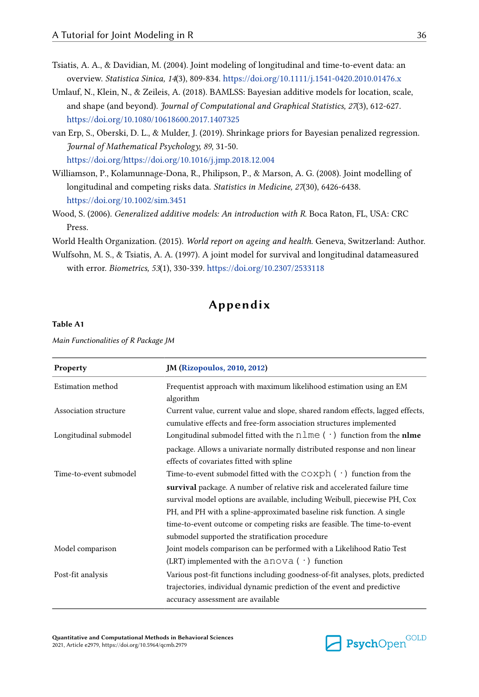- <span id="page-35-0"></span>Tsiatis, A. A., & Davidian, M. (2004). Joint modeling of longitudinal and time-to-event data: an overview. *Statistica Sinica, 14*(3), 809-834. <https://doi.org/10.1111/j.1541-0420.2010.01476.x>
- Umlauf, N., Klein, N., & Zeileis, A. (2018). BAMLSS: Bayesian additive models for location, scale, and shape (and beyond). *Journal of Computational and Graphical Statistics, 27*(3), 612-627. <https://doi.org/10.1080/10618600.2017.1407325>
- van Erp, S., Oberski, D. L., & Mulder, J. (2019). Shrinkage priors for Bayesian penalized regression. *Journal of Mathematical Psychology, 89*, 31-50. <https://doi.org/https://doi.org/10.1016/j.jmp.2018.12.004>
- Williamson, P., Kolamunnage-Dona, R., Philipson, P., & Marson, A. G. (2008). Joint modelling of longitudinal and competing risks data. *Statistics in Medicine, 27*(30), 6426-6438. <https://doi.org/10.1002/sim.3451>
- Wood, S. (2006). *Generalized additive models: An introduction with R*. Boca Raton, FL, USA: CRC Press.

World Health Organization. (2015). *World report on ageing and health*. Geneva, Switzerland: Author.

Wulfsohn, M. S., & Tsiatis, A. A. (1997). A joint model for survival and longitudinal datameasured with error. *Biometrics, 53*(1), 330-339.<https://doi.org/10.2307/2533118>

# **Appendix**

#### **Table A1**

*Main Functionalities of R Package JM*

| Property               | <b>JM (Rizopoulos, 2010, 2012)</b>                                                                                                                    |
|------------------------|-------------------------------------------------------------------------------------------------------------------------------------------------------|
| Estimation method      | Frequentist approach with maximum likelihood estimation using an EM<br>algorithm                                                                      |
| Association structure  | Current value, current value and slope, shared random effects, lagged effects,<br>cumulative effects and free-form association structures implemented |
| Longitudinal submodel  | Longitudinal submodel fitted with the $n \ln e$ ( $\cdot$ ) function from the nlme                                                                    |
|                        | package. Allows a univariate normally distributed response and non linear<br>effects of covariates fitted with spline                                 |
| Time-to-event submodel | Time-to-event submodel fitted with the $\cosph$ ( $\cdot$ ) function from the                                                                         |
|                        | survival package. A number of relative risk and accelerated failure time                                                                              |
|                        | survival model options are available, including Weibull, piecewise PH, Cox                                                                            |
|                        | PH, and PH with a spline-approximated baseline risk function. A single                                                                                |
|                        | time-to-event outcome or competing risks are feasible. The time-to-event                                                                              |
|                        | submodel supported the stratification procedure                                                                                                       |
| Model comparison       | Joint models comparison can be performed with a Likelihood Ratio Test                                                                                 |
|                        | (LRT) implemented with the $a$ nova ( $\cdot$ ) function                                                                                              |
| Post-fit analysis      | Various post-fit functions including goodness-of-fit analyses, plots, predicted                                                                       |
|                        | trajectories, individual dynamic prediction of the event and predictive                                                                               |
|                        | accuracy assessment are available                                                                                                                     |

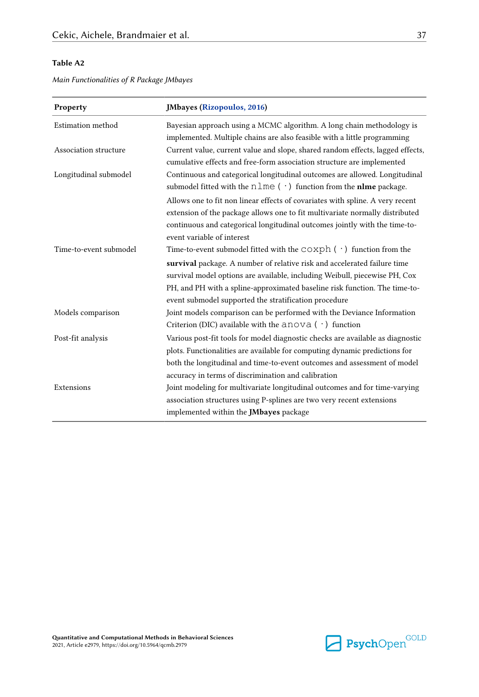<span id="page-36-0"></span>*Main Functionalities of R Package JMbayes*

| Property               | <b>JMbayes (Rizopoulos, 2016)</b>                                                                                                                                                                                                                                                                                                                                                   |
|------------------------|-------------------------------------------------------------------------------------------------------------------------------------------------------------------------------------------------------------------------------------------------------------------------------------------------------------------------------------------------------------------------------------|
| Estimation method      | Bayesian approach using a MCMC algorithm. A long chain methodology is<br>implemented. Multiple chains are also feasible with a little programming                                                                                                                                                                                                                                   |
| Association structure  | Current value, current value and slope, shared random effects, lagged effects,<br>cumulative effects and free-form association structure are implemented                                                                                                                                                                                                                            |
| Longitudinal submodel  | Continuous and categorical longitudinal outcomes are allowed. Longitudinal<br>submodel fitted with the $n \ln e$ ( $\cdot$ ) function from the <b>nime</b> package.                                                                                                                                                                                                                 |
|                        | Allows one to fit non linear effects of covariates with spline. A very recent<br>extension of the package allows one to fit multivariate normally distributed<br>continuous and categorical longitudinal outcomes jointly with the time-to-<br>event variable of interest                                                                                                           |
| Time-to-event submodel | Time-to-event submodel fitted with the $\texttt{coxph}( \cdot )$ function from the<br>survival package. A number of relative risk and accelerated failure time<br>survival model options are available, including Weibull, piecewise PH, Cox<br>PH, and PH with a spline-approximated baseline risk function. The time-to-<br>event submodel supported the stratification procedure |
| Models comparison      | Joint models comparison can be performed with the Deviance Information<br>Criterion (DIC) available with the $a_{\text{no}} \vee a (\cdot)$ function                                                                                                                                                                                                                                |
| Post-fit analysis      | Various post-fit tools for model diagnostic checks are available as diagnostic<br>plots. Functionalities are available for computing dynamic predictions for<br>both the longitudinal and time-to-event outcomes and assessment of model<br>accuracy in terms of discrimination and calibration                                                                                     |
| Extensions             | Joint modeling for multivariate longitudinal outcomes and for time-varying<br>association structures using P-splines are two very recent extensions<br>implemented within the <b>JMbayes</b> package                                                                                                                                                                                |

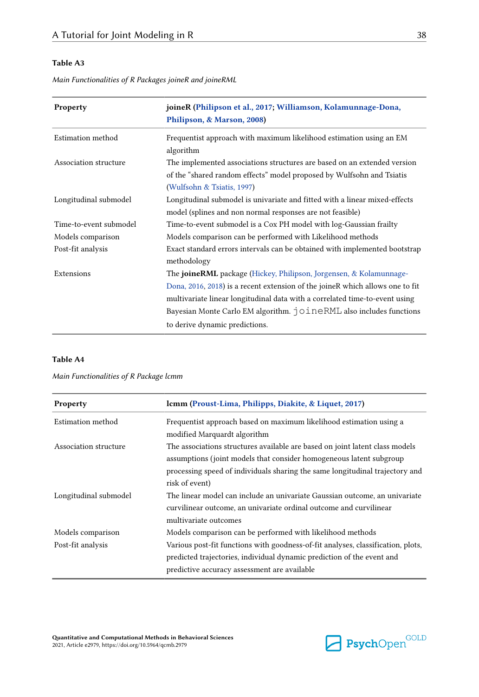<span id="page-37-0"></span>*Main Functionalities of R Packages joineR and joineRML*

| Property               | joineR (Philipson et al., 2017; Williamson, Kolamunnage-Dona,<br>Philipson, & Marson, 2008)                                                                                                 |
|------------------------|---------------------------------------------------------------------------------------------------------------------------------------------------------------------------------------------|
| Estimation method      | Frequentist approach with maximum likelihood estimation using an EM<br>algorithm                                                                                                            |
| Association structure  | The implemented associations structures are based on an extended version<br>of the "shared random effects" model proposed by Wulfsohn and Tsiatis<br>(Wulfsohn & Tsiatis, 1997)             |
| Longitudinal submodel  | Longitudinal submodel is univariate and fitted with a linear mixed-effects<br>model (splines and non normal responses are not feasible)                                                     |
| Time-to-event submodel | Time-to-event submodel is a Cox PH model with log-Gaussian frailty                                                                                                                          |
| Models comparison      | Models comparison can be performed with Likelihood methods                                                                                                                                  |
| Post-fit analysis      | Exact standard errors intervals can be obtained with implemented bootstrap<br>methodology                                                                                                   |
| Extensions             | The <b>joineRML</b> package (Hickey, Philipson, Jorgensen, & Kolamunnage-                                                                                                                   |
|                        | Dona, 2016, 2018) is a recent extension of the joineR which allows one to fit                                                                                                               |
|                        | multivariate linear longitudinal data with a correlated time-to-event using<br>Bayesian Monte Carlo EM algorithm. $\overrightarrow{O}$ O $\overrightarrow{I}$ neRML also includes functions |
|                        | to derive dynamic predictions.                                                                                                                                                              |

#### **Table A4**

*Main Functionalities of R Package lcmm*

| Property              | lcmm (Proust-Lima, Philipps, Diakite, & Liquet, 2017)                            |
|-----------------------|----------------------------------------------------------------------------------|
| Estimation method     | Frequentist approach based on maximum likelihood estimation using a              |
|                       | modified Marquardt algorithm                                                     |
| Association structure | The associations structures available are based on joint latent class models     |
|                       | assumptions (joint models that consider homogeneous latent subgroup              |
|                       | processing speed of individuals sharing the same longitudinal trajectory and     |
|                       | risk of event)                                                                   |
| Longitudinal submodel | The linear model can include an univariate Gaussian outcome, an univariate       |
|                       | curvilinear outcome, an univariate ordinal outcome and curvilinear               |
|                       | multivariate outcomes                                                            |
| Models comparison     | Models comparison can be performed with likelihood methods                       |
| Post-fit analysis     | Various post-fit functions with goodness-of-fit analyses, classification, plots, |
|                       | predicted trajectories, individual dynamic prediction of the event and           |
|                       | predictive accuracy assessment are available                                     |

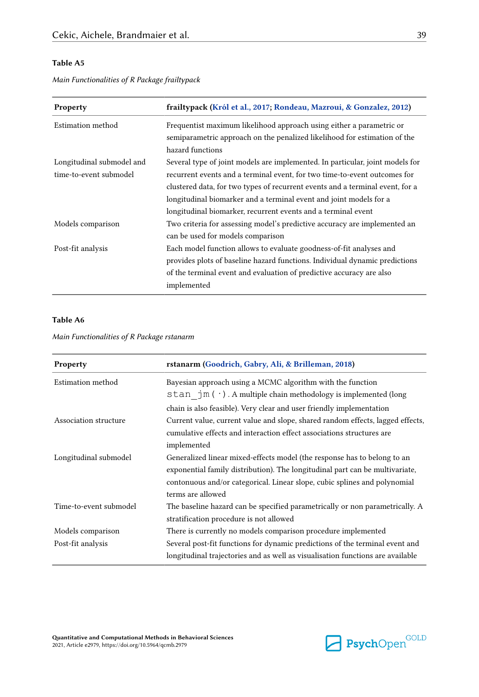| <b>Property</b>                                     | frailtypack (Król et al., 2017; Rondeau, Mazroui, & Gonzalez, 2012)                                                                                                                                                                                                                                                                                                                |
|-----------------------------------------------------|------------------------------------------------------------------------------------------------------------------------------------------------------------------------------------------------------------------------------------------------------------------------------------------------------------------------------------------------------------------------------------|
| Estimation method                                   | Frequentist maximum likelihood approach using either a parametric or<br>semiparametric approach on the penalized likelihood for estimation of the<br>hazard functions                                                                                                                                                                                                              |
| Longitudinal submodel and<br>time-to-event submodel | Several type of joint models are implemented. In particular, joint models for<br>recurrent events and a terminal event, for two time-to-event outcomes for<br>clustered data, for two types of recurrent events and a terminal event, for a<br>longitudinal biomarker and a terminal event and joint models for a<br>longitudinal biomarker, recurrent events and a terminal event |
| Models comparison                                   | Two criteria for assessing model's predictive accuracy are implemented an<br>can be used for models comparison                                                                                                                                                                                                                                                                     |
| Post-fit analysis                                   | Each model function allows to evaluate goodness-of-fit analyses and<br>provides plots of baseline hazard functions. Individual dynamic predictions<br>of the terminal event and evaluation of predictive accuracy are also<br>implemented                                                                                                                                          |

<span id="page-38-0"></span>*Main Functionalities of R Package frailtypack*

#### **Table A6**

*Main Functionalities of R Package rstanarm*

| Property               | rstanarm (Goodrich, Gabry, Ali, & Brilleman, 2018)                                                                                                                                                                              |
|------------------------|---------------------------------------------------------------------------------------------------------------------------------------------------------------------------------------------------------------------------------|
| Estimation method      | Bayesian approach using a MCMC algorithm with the function<br>stan $jm(·)$ . A multiple chain methodology is implemented (long                                                                                                  |
| Association structure  | chain is also feasible). Very clear and user friendly implementation<br>Current value, current value and slope, shared random effects, lagged effects,<br>cumulative effects and interaction effect associations structures are |
| Longitudinal submodel  | implemented<br>Generalized linear mixed-effects model (the response has to belong to an<br>exponential family distribution). The longitudinal part can be multivariate,                                                         |
|                        | contonuous and/or categorical. Linear slope, cubic splines and polynomial<br>terms are allowed                                                                                                                                  |
| Time-to-event submodel | The baseline hazard can be specified parametrically or non parametrically. A<br>stratification procedure is not allowed                                                                                                         |
| Models comparison      | There is currently no models comparison procedure implemented                                                                                                                                                                   |
| Post-fit analysis      | Several post-fit functions for dynamic predictions of the terminal event and<br>longitudinal trajectories and as well as visualisation functions are available                                                                  |